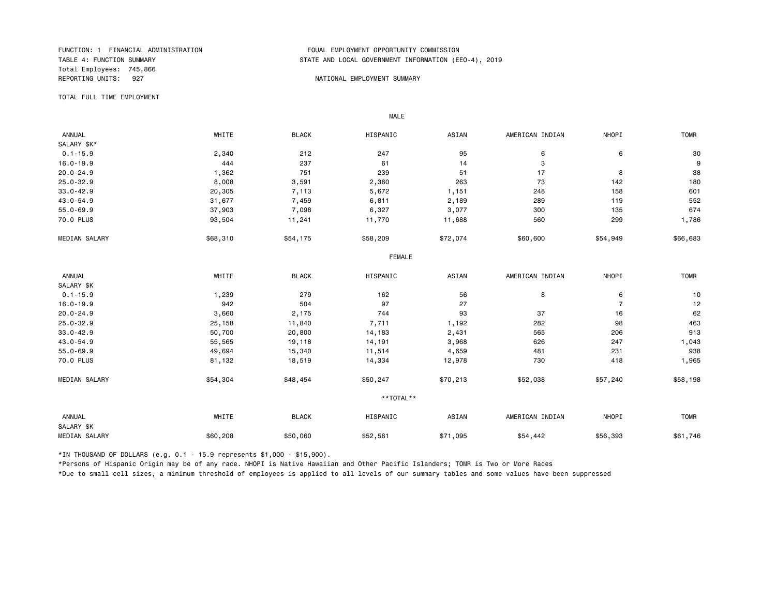Total Employees: 745,866 REPORTING UNITS: 927 NATIONAL EMPLOYMENT SUMMARY

#### FUNCTION: 1 FINANCIAL ADMINISTRATION EQUAL EMPLOYMENT OPPORTUNITY COMMISSION STATE AND LOCAL GOVERNMENT INFORMATION (EEO-4), 2019

TOTAL FULL TIME EMPLOYMENT

 ANNUAL WHITE BLACK HISPANIC ASIAN AMERICAN INDIAN NHOPI TOMR SALARY \$K\*<br>0.1-15.9 0.1-15.9 2,340 212 247 95 6 6 30 16.0-19.9 444 237 61 14 3 9 20.0-24.9 1,362 751 239 51 17 8 38 25.0-32.9 8,008 3,591 2,360 263 73 142 180 33.0-42.9 20,305 7,113 5,672 1,151 248 158 601 43.0-54.9 31,677 7,459 6,811 2,189 289 119 552 55.0-69.9 37,903 7,098 6,327 3,077 300 135 674 70.0 PLUS 93,504 11,241 11,770 11,688 560 299 1,786 MEDIAN SALARY \$68,310 \$54,175 \$58,209 \$72,074 \$60,600 \$54,949 \$66,683 FEMALE **FRAME**  ANNUAL WHITE BLACK HISPANIC ASIAN AMERICAN INDIAN NHOPI TOMR SALARY \$K<br>0.1-15.9 0.1-15.9 1,239 279 162 56 8 6 10 16.0-19.9 942 504 97 27 7 12 20.0-24.9 3,660 2,175 744 93 37 16 62 25.0-32.9 25,158 11,840 7,711 1,192 282 98 463 33.0-42.9 50,700 20,800 14,183 2,431 565 206 913 43.0-54.9 55,565 19,118 14,191 3,968 626 247 1,043 55.0-69.9 49,694 15,340 11,514 4,659 481 231 938 70.0 PLUS 81,132 18,519 14,334 12,978 730 418 1,965 MEDIAN SALARY \$54,304 \$48,454 \$50,247 \$70,213 \$52,038 \$57,240 \$58,198 \*\*TOTAL\*\* ANNUAL WHITE BLACK HISPANIC ASIAN AMERICAN INDIAN NHOPI TOMR SALARY \$K MEDIAN SALARY \$60,208 \$50,060 \$52,561 \$71,095 \$54,442 \$56,393 \$61,746

\*IN THOUSAND OF DOLLARS (e.g. 0.1 - 15.9 represents \$1,000 - \$15,900).

MALE

\*Persons of Hispanic Origin may be of any race. NHOPI is Native Hawaiian and Other Pacific Islanders; TOMR is Two or More Races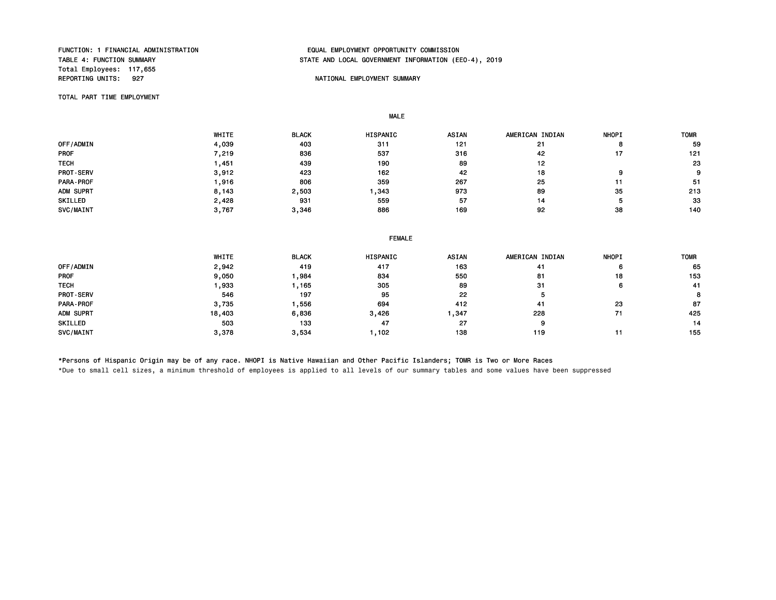Total Employees: 117,655<br>REPORTING UNITS: 927

#### FUNCTION: 1 FINANCIAL ADMINISTRATION EQUAL EMPLOYMENT OPPORTUNITY COMMISSION STATE AND LOCAL GOVERNMENT INFORMATION (EEO-4), 2019

#### NATIONAL EMPLOYMENT SUMMARY

TOTAL PART TIME EMPLOYMENT

MALE

|                  | WHITE | <b>BLACK</b> | HISPANIC | <b>ASIAN</b> | AMERICAN INDIAN | <b>NHOPI</b> | <b>TOMR</b> |
|------------------|-------|--------------|----------|--------------|-----------------|--------------|-------------|
| OFF/ADMIN        | 4,039 | 403          | 311      | 121          | 21              | o            | 59          |
| <b>PROF</b>      | 7.219 | 836          | 537      | 316          | 42              |              | 121         |
| <b>TECH</b>      | .451  | 439          | 190      | 89           | 12              |              | 23          |
| <b>PROT-SERV</b> | 3,912 | 423          | 162      | 42           | 18              | 9            | 9           |
| PARA-PROF        | .916  | 806          | 359      | 267          | 25              |              | -51         |
| ADM SUPRT        | 8,143 | 2,503        | 343.     | 973          | 89              | 35           | 213         |
| SKILLED          | 2,428 | 931          | 559      | 57           | 14              |              | 33          |
| SVC/MAINT        | 3,767 | 3,346        | 886      | 169          | 92              | 38           | 140         |

#### FEMALE

|                  | WHITE  | <b>BLACK</b> | HISPANIC | <b>ASIAN</b> | AMERICAN INDIAN | <b>NHOPI</b> | <b>TOMR</b> |
|------------------|--------|--------------|----------|--------------|-----------------|--------------|-------------|
| OFF/ADMIN        | 2,942  | 419          | 417      | 163          | 41              | 6            | 65          |
| <b>PROF</b>      | 9,050  | ,984         | 834      | 550          | 81              | 18           | 153         |
| <b>TECH</b>      | ,933   | , 165        | 305      | 89           | 31              | 6            | 41          |
| <b>PROT-SERV</b> | 546    | 197          | 95       | 22           | Ð               |              | 8           |
| PARA-PROF        | 3,735  | ,556         | 694      | 412          | 41              | 23           | 87          |
| ADM SUPRT        | 18,403 | 6,836        | 3,426    | ,347         | 228             |              | 425         |
| SKILLED          | 503    | 133          | 47       | 27           | 9               |              | 14          |
| SVC/MAINT        | 3,378  | 3,534        | ,102     | 138          | 119             |              | 155         |

\*Persons of Hispanic Origin may be of any race. NHOPI is Native Hawaiian and Other Pacific Islanders; TOMR is Two or More Races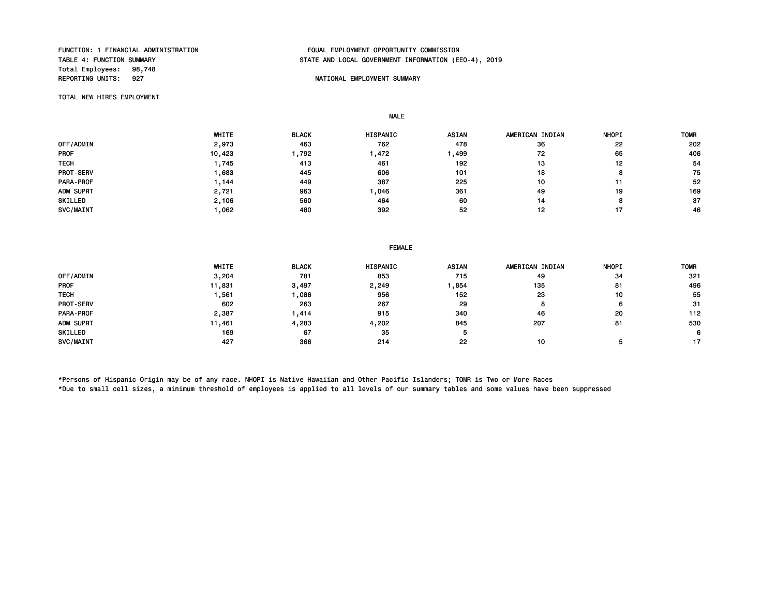Total Employees: 98,748<br>REPORTING UNITS: 927

MALE

## FUNCTION: 1 FINANCIAL ADMINISTRATION EQUAL EMPLOYMENT OPPORTUNITY COMMISSION STATE AND LOCAL GOVERNMENT INFORMATION (EEO-4), 2019

#### NATIONAL EMPLOYMENT SUMMARY

TOTAL NEW HIRES EMPLOYMENT

 WHITE BLACK HISPANIC ASIAN AMERICAN INDIAN NHOPI TOMR 0FF/ADMIN 2,973 463 762 478 36 22 202 PROF 10,423 1,792 1,472 1,499 72 65 406 TECH 1 ,745 413 461 192 13 12 54 PROT-SERV 1,683 445 606 101 18 8 75 PARA-PROF 1,144 449 387 225 10 11 52 ADM SUPRT 2,721 963 1,046 361 49 19 169 SKILLED 2,106 560 464 60 14 8 37 SVC/MAINT 1,062 480 392 52 12 17 46

|                  | WHITE  | <b>BLACK</b> | HISPANIC | <b>ASIAN</b> | AMERICAN INDIAN | <b>NHOPI</b> | <b>TOMF</b> |
|------------------|--------|--------------|----------|--------------|-----------------|--------------|-------------|
| OFF/ADMIN        | 3,204  | 781          | 853      | 715          | 49              | 34           | 321         |
| <b>PROF</b>      | 11,831 | 3,497        | 2,249    | ,854         | 135             | 81           | 496         |
| <b>TECH</b>      | .561   | ,086         | 956      | 152          | 23              | 10           | 55          |
| <b>PROT-SERV</b> | 602    | 263          | 267      | 29           | 8               | 6            | 31          |
| PARA-PROF        | 2,387  | .414         | 915      | 340          | 46              | 20           | 112         |
| ADM SUPRT        | 11,461 | 4,283        | 4,202    | 845          | 207             | 81           | 530         |
| SKILLED          | 169    | 67           | 35       |              |                 |              | 6.          |
| SVC/MAINT        | 427    | 366          | 214      | 22           | 10              |              | 17          |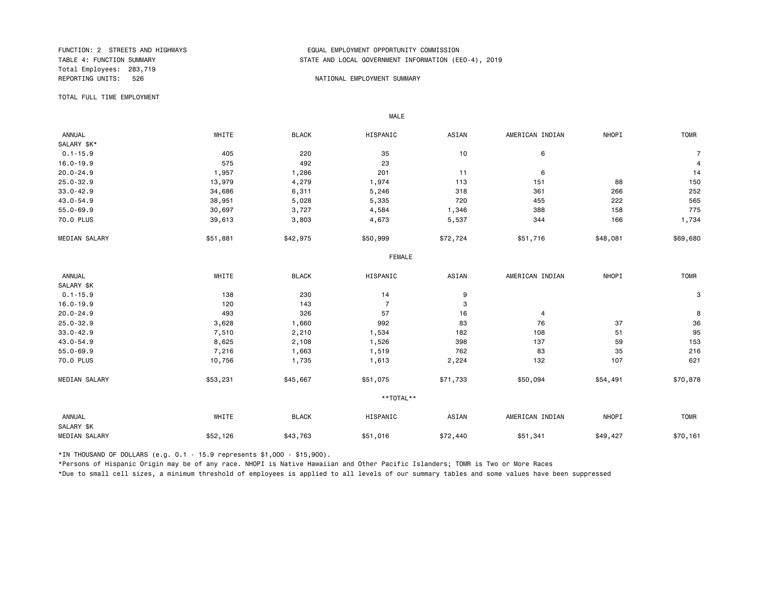Total Employees: 283,719 REPORTING UNITS: 526 NATIONAL EMPLOYMENT SUMMARY

#### FUNCTION: 2 STREETS AND HIGHWAYS FUNCTION: 2 STREETS AND HIGHWAYS<br>TABLE 4: FUNCTION SUMMARY FOR THE STATE AND LOCAL GOVERNMENT INFORMATION (ER STATE AND LOCAL GOVERNMENT INFORMATION (EEO-4), 2019

TOTAL FULL TIME EMPLOYMENT

 ANNUAL WHITE BLACK HISPANIC ASIAN AMERICAN INDIAN NHOPI TOMR SALARY \$K\*<br>0.1-15.9  $0.1$ -15.9 and the contract of  $405$  and  $220$  and  $35$  and  $10$  and  $6$  and  $7$  and  $7$ 16.0-19.9 575 492 23 4 20.0-24.9 1,957 1,286 201 11 6 14 25.0-32.9 13,979 4,279 1,974 113 151 88 150 33.0-42.9 34,686 6,311 5,246 318 361 266 252 43.0-54.9 38,951 5,028 5,335 720 455 222 565 55.0-69.9 30,697 3,727 4,584 1,346 388 158 775 70.0 PLUS 39,613 3,803 4,673 5,537 344 166 1,734 MEDIAN SALARY \$51,881 \$42,975 \$50,999 \$72,724 \$51,716 \$48,081 \$69,680 \$69,680 FEMALE **FRAME**  ANNUAL WHITE BLACK HISPANIC ASIAN AMERICAN INDIAN NHOPI TOMR SALARY \$K<br>0.1-15.9  $0.1$ -15.9 230 3 16.0-19.9 120 143 7 3 20.0-24.9 493 326 57 16 4 8 25.0-32.9 3,628 1,660 992 83 76 37 36 33.0-42.9 7,510 2,210 1,534 182 108 51 95 43.0-54.9 8,625 2,108 1,526 398 137 59 153 55.0-69.9 7,216 1,663 1,519 762 83 35 216 70.0 PLUS 10,756 1,735 1,613 2,224 132 107 621 MEDIAN SALARY \$53,231 \$45,667 \$51,075 \$71,733 \$50,094 \$54,491 \$70,878 \*\*TOTAL\*\* ANNUAL WHITE BLACK HISPANIC ASIAN AMERICAN INDIAN NHOPI TOMR SALARY \$K MEDIAN SALARY \$52,126 \$43,763 \$51,016 \$72,440 \$51,341 \$49,427 \$70,161

\*IN THOUSAND OF DOLLARS (e.g. 0.1 - 15.9 represents \$1,000 - \$15,900).

MALE

\*Persons of Hispanic Origin may be of any race. NHOPI is Native Hawaiian and Other Pacific Islanders; TOMR is Two or More Races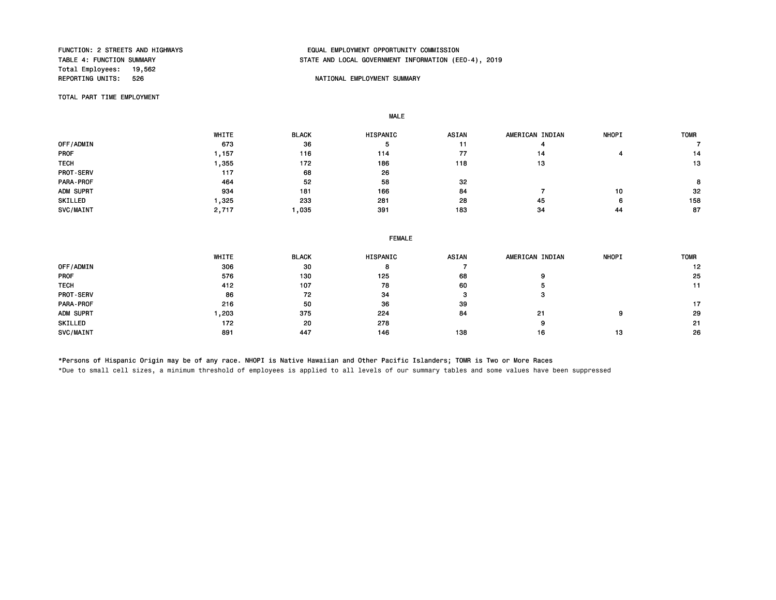Total Employees: 19,562<br>REPORTING UNITS: 526

## FUNCTION: 2 STREETS AND HIGHWAYS EQUAL EMPLOYMENT OPPORTUNITY COMMISSION STATE AND LOCAL GOVERNMENT INFORMATION (EEO-4), 2019

#### NATIONAL EMPLOYMENT SUMMARY

TOTAL PART TIME EMPLOYMENT

MALE

|             | <b>WHITE</b> | <b>BLACK</b> | <b>HISPANIC</b> | <b>ASIAN</b> | AMERICAN INDIAN | <b>NHOPI</b> | <b>TOMR</b> |
|-------------|--------------|--------------|-----------------|--------------|-----------------|--------------|-------------|
| OFF/ADMIN   | 673          | 36           | 5               | 11           |                 |              |             |
| <b>PROF</b> | .157         | 116          | 114             | 77           | 14              |              | 14          |
| <b>TECH</b> | .355         | 172          | 186             | 118          | 13              |              | 13          |
| PROT-SERV   | 117          | 68           | 26              |              |                 |              |             |
| PARA-PROF   | 464          | 52           | 58              | 32           |                 |              | 8           |
| ADM SUPRT   | 934          | 181          | 166             | 84           |                 | 10           | 32          |
| SKILLED     | $-325$       | 233          | 281             | 28           | 45              | 6            | 158         |
| SVC/MAINT   | 2,717        | ,035         | 391             | 183          | 34              | 44           | 87          |

| WHITE | <b>BLACK</b> | HISPANIC | <b>ASIAN</b>  | AMERICAN INDIAN | <b>NHOPI</b> | <b>TOMR</b> |  |  |
|-------|--------------|----------|---------------|-----------------|--------------|-------------|--|--|
| 306   | 30           | 8        |               |                 |              | 12          |  |  |
| 576   | 130          | 125      | 68            |                 |              | 25          |  |  |
| 412   | 107          | 78       | 60            |                 |              | 11          |  |  |
| 86    | 72           | 34       | o             | з               |              |             |  |  |
| 216   | 50           | 36       | 39            |                 |              | 17          |  |  |
| 1,203 | 375          | 224      | 84            | 21              | 9            | 29          |  |  |
| 172   | 20           | 278      |               | 9               |              | -21         |  |  |
| 891   | 447          | 146      | 138           | 16              | 13           | 26          |  |  |
|       |              |          | <b>FEMALE</b> |                 |              |             |  |  |

\*Persons of Hispanic Origin may be of any race. NHOPI is Native Hawaiian and Other Pacific Islanders; TOMR is Two or More Races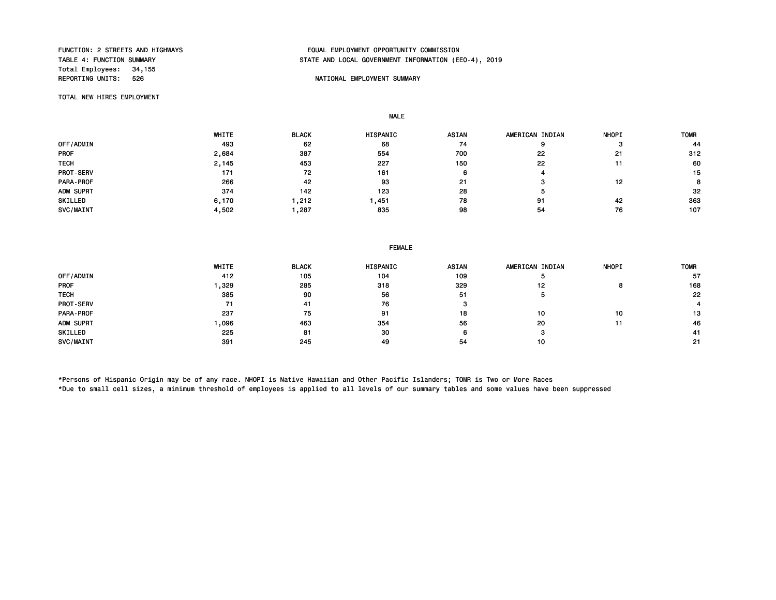Total Employees: 34,155<br>REPORTING UNITS: 526

### FUNCTION: 2 STREETS AND HIGHWAYS EQUAL EMPLOYMENT OPPORTUNITY COMMISSION STATE AND LOCAL GOVERNMENT INFORMATION (EEO-4), 2019

#### NATIONAL EMPLOYMENT SUMMARY

TOTAL NEW HIRES EMPLOYMENT

MALE

|                  | WHITE | <b>BLACK</b> | <b>HISPANIC</b> | <b>ASIAN</b> | AMERICAN INDIAN | <b>NHOPI</b> | <b>TOMR</b> |
|------------------|-------|--------------|-----------------|--------------|-----------------|--------------|-------------|
| OFF/ADMIN        | 493   | 62           | 68              | 74           | 9               |              | 44          |
| <b>PROF</b>      | 2,684 | 387          | 554             | 700          | 22              | 21           | 312         |
| <b>TECH</b>      | 2,145 | 453          | 227             | 150          | 22              |              | 60          |
| <b>PROT-SERV</b> | 171   | 72           | 161             |              |                 |              | 15          |
| PARA-PROF        | 266   | 42           | 93              | -21          |                 | 12           | 8           |
| ADM SUPRT        | 374   | 142          | 123             | 28           |                 |              | 32          |
| SKILLED          | 6,170 | 212. ا       | , 451           | 78           | 91              | 42           | 363         |
| SVC/MAINT        | 4,502 | ,287         | 835             | 98           | 54              | 76           | 107         |

|             | WHITE | <b>BLACK</b> | <b>HISPANIC</b> | <b>ASIAN</b> | AMERICAN INDIAN | <b>NHOPI</b> | <b>TOMR</b> |
|-------------|-------|--------------|-----------------|--------------|-----------------|--------------|-------------|
| OFF/ADMIN   | 412   | 105          | 104             | 109          |                 |              | 57          |
| <b>PROF</b> | ,329  | 285          | 318             | 329          | 12              |              | 168         |
| <b>TECH</b> | 385   | 90           | 56              | 51           | Ð               |              | 22          |
| PROT-SERV   | 71    | 41           | 76              |              |                 |              |             |
| PARA-PROF   | 237   | 75           | 91              | 18           | 10              | 10           | 13          |
| ADM SUPRT   | ,096  | 463          | 354             | 56           | 20              |              | 46          |
| SKILLED     | 225   | 81           | 30              | 6            |                 |              | 41          |
| SVC/MAINT   | 391   | 245          | 49              | 54           | 10              |              | -21         |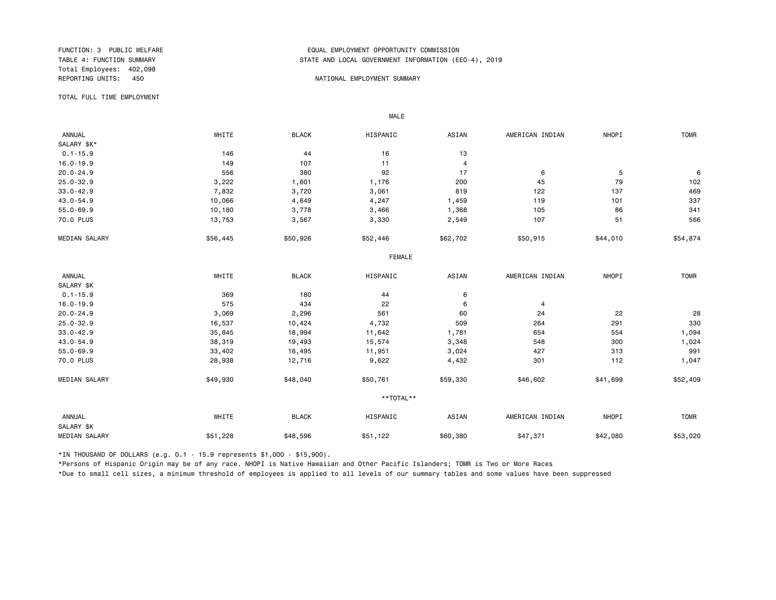Total Employees: 402,098

#### FUNCTION: 3 PUBLIC WELFARE THE SERVICE ON THE SERVICE ON TABLE AND LOCAL GOVERNMENT INFORMATION (EDUAL TABLE 4: FUNCTION SUMMARY STATE AND LOCAL GOVERNMENT INFORMATION (EEO-4), 2019

#### REPORTING UNITS: 450 Analysis and the method of the method of the method of the method of the method of the method of the method of the method of the method of the method of the method of the method of the method of the me

TOTAL FULL TIME EMPLOYMENT

 ANNUAL WHITE BLACK HISPANIC ASIAN AMERICAN INDIAN NHOPI TOMR SALARY \$K\*<br>0.1-15.9  $0.1 - 15.9$  146 144 16 13 16.0-19.9 100 149 107 11 4 20.0-24.9 556 380 92 17 6 5 6 25.0-32.9 3,222 1,601 1,176 200 45 79 102 33.0-42.9 7,832 3,720 3,061 819 122 137 469 43.0-54.9 10,066 4,649 4,247 1,459 119 101 337 55.0-69.9 10,180 3,778 3,466 1,368 105 86 341 70.0 PLUS 13,753 3,567 3,330 2,549 107 551 566 MEDIAN SALARY \$56,445 \$50,926 \$52,446 \$62,702 \$50,915 \$44,010 \$54,874 FEMALE **FRAME**  ANNUAL WHITE BLACK HISPANIC ASIAN AMERICAN INDIAN NHOPI TOMR SALARY \$K<br>0.1-15.9  $0.1-15.9$  369  $180$  44 6 16.0-19.9 575 434 22 6 4 20.0-24.9 3,069 2,296 561 60 24 22 28 25.0-32.9 16,537 10,424 4,732 509 264 291 330 33.0-42.9 35,845 18,994 11,642 1,781 654 554 1,094 43.0-54.9 38,319 19,493 15,574 3,348 548 300 1,024 55.0-69.9 33,402 16,495 11,951 3,024 427 313 991 70.0 PLUS 28,938 12,716 9,622 4,432 301 112 1,047 MEDIAN SALARY \$49,930 \$48,040 \$50,761 \$46,802 \$41,699 \$52,409 \$52,409 \*\*TOTAL\*\* ANNUAL WHITE BLACK HISPANIC ASIAN AMERICAN INDIAN NHOPI TOMR SALARY \$K MEDIAN SALARY \$51,228 \$48,596 \$51,122 \$67,371 \$42,080 \$53,020 \$53,020

\*IN THOUSAND OF DOLLARS (e.g. 0.1 - 15.9 represents \$1,000 - \$15,900).

MALE

\*Persons of Hispanic Origin may be of any race. NHOPI is Native Hawaiian and Other Pacific Islanders; TOMR is Two or More Races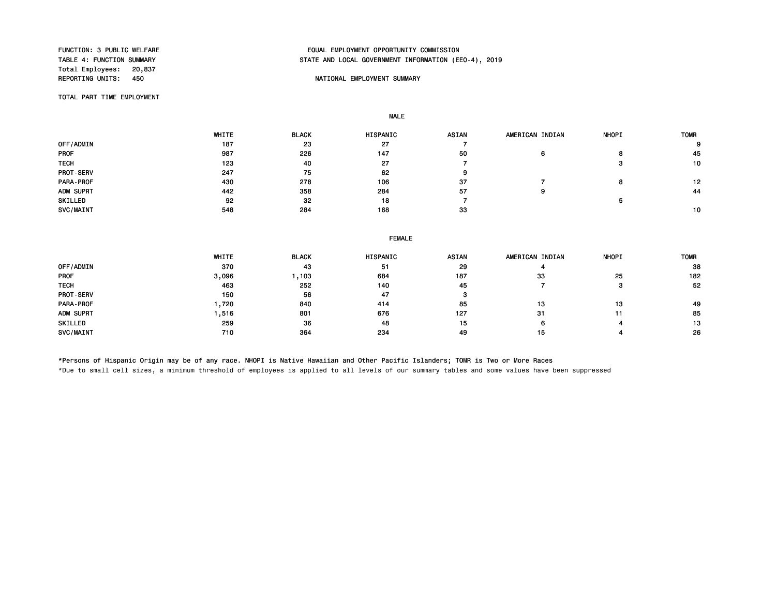Total Employees: 20,837<br>REPORTING UNITS: 450

#### FUNCTION: 3 PUBLIC WELFARE EQUAL EMPLOYMENT OPPORTUNITY COMMISSION STATE AND LOCAL GOVERNMENT INFORMATION (EEO-4), 2019

#### NATIONAL EMPLOYMENT SUMMARY

TOTAL PART TIME EMPLOYMENT

MALE

|                  | WHITE | <b>BLACK</b> | <b>HISPANIC</b> | <b>ASIAN</b> | AMERICAN INDIAN | <b>NHOPI</b> | <b>TOMR</b> |
|------------------|-------|--------------|-----------------|--------------|-----------------|--------------|-------------|
| OFF/ADMIN        | 187   | 23           | 27              |              |                 |              | 9           |
| <b>PROF</b>      | 987   | 226          | 147             | 50           | 6               | o            | 45          |
| <b>TECH</b>      | 123   | 40           | 27              |              |                 |              | 10          |
| <b>PROT-SERV</b> | 247   | 75           | 62              |              |                 |              |             |
| PARA-PROF        | 430   | 278          | 106             | 37           |                 |              | 12          |
| ADM SUPRT        | 442   | 358          | 284             | 57           | 9               |              | 44          |
| SKILLED          | 92    | 32           | 18              |              |                 |              |             |
| SVC/MAINT        | 548   | 284          | 168             | 33           |                 |              | 10          |

#### FEMALE

|                  | WHITE | <b>BLACK</b> | HISPANIC | <b>ASIAN</b> | AMERICAN INDIAN | <b>NHOPI</b> | <b>TOMR</b> |
|------------------|-------|--------------|----------|--------------|-----------------|--------------|-------------|
| OFF/ADMIN        | 370   | 43           | 51       | 29           |                 |              | 38          |
| <b>PROF</b>      | 3,096 | ,103         | 684      | 187          | 33              | 25           | 182         |
| <b>TECH</b>      | 463   | 252          | 140      | 45           |                 |              | 52          |
| <b>PROT-SERV</b> | 150   | 56           | 47       |              |                 |              |             |
| PARA-PROF        | ,720  | 840          | 414      | 85           | 13              | 13           | 49          |
| ADM SUPRT        | .516  | 801          | 676      | 127          | 31              | 11           | 85          |
| SKILLED          | 259   | 36           | 48       | 15           | 6               |              | 13          |
| SVC/MAINT        | 710   | 364          | 234      | 49           | 15              |              | 26          |

\*Persons of Hispanic Origin may be of any race. NHOPI is Native Hawaiian and Other Pacific Islanders; TOMR is Two or More Races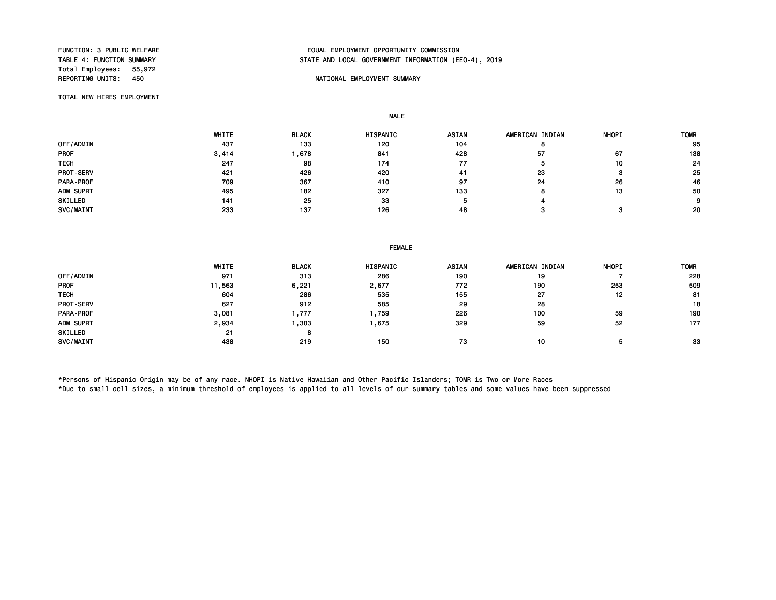Total Employees: 55,972<br>REPORTING UNITS: 450

#### FUNCTION: 3 PUBLIC WELFARE EQUAL EMPLOYMENT OPPORTUNITY COMMISSION STATE AND LOCAL GOVERNMENT INFORMATION (EEO-4), 2019

#### NATIONAL EMPLOYMENT SUMMARY

TOTAL NEW HIRES EMPLOYMENT

MALE

FEMALE

 WHITE BLACK HISPANIC ASIAN AMERICAN INDIAN NHOPI TOMR OFF/ADMIN 437 133 120 104 8 95 PROF 3,414 1,678 841 428 57 67 138 TECH 247 98 174 77 5 10 24 PROT-SERV 421 426 420 41 23 3 25 PARA-PROF 709 367 410 97 24 26 46 ADM SUPRT 495 182 327 133 8 13 50 SKILLED 141 25 33 5 4 9 SVC/MAINT 233 137 126 48 3 20

|                  | WHITE  | <b>BLACK</b> | HISPANIC | ASIAN | AMERICAN INDIAN | <b>NHOPI</b> | <b>TOMR</b> |
|------------------|--------|--------------|----------|-------|-----------------|--------------|-------------|
| OFF/ADMIN        | 971    | 313          | 286      | 190   | 19              |              | 228         |
| PROF             | 11,563 | 6,221        | 2,677    | 772   | 190             | 253          | 509         |
| <b>TECH</b>      | 604    | 286          | 535      | 155   | 27              | 12           | 81          |
| <b>PROT-SERV</b> | 627    | 912          | 585      | 29    | 28              |              | 18          |
| PARA-PROF        | 3,081  | 777, ا       | ,759     | 226   | 100             | 59           | 190         |
| ADM SUPRT        | 2,934  | , 303        | ,675     | 329   | 59              | 52           | 177         |
| SKILLED          | 21     | 8            |          |       |                 |              |             |
| SVC/MAINT        | 438    | 219          | 150      | 73    | 10              |              | 33          |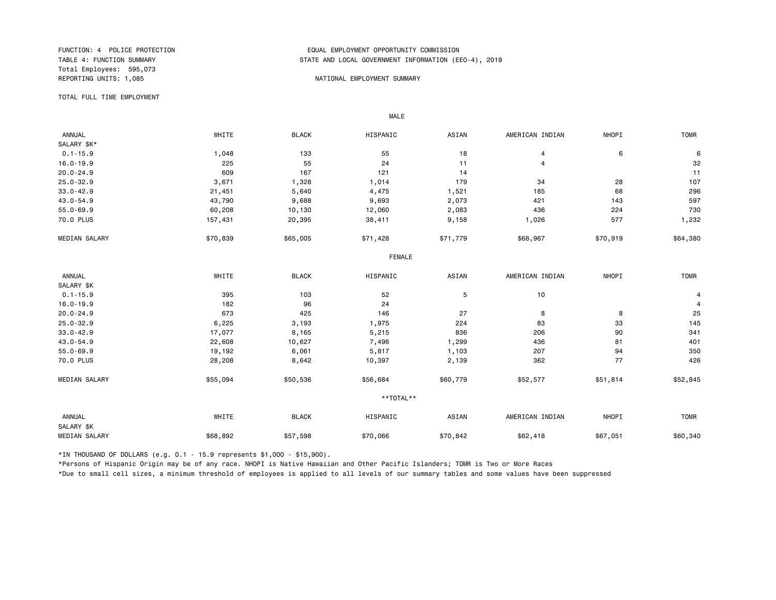Total Employees: 595,073

#### FUNCTION: 4 POLICE PROTECTION<br>TABLE 4: FUNCTION SUMMARY TABLE AND LOCAL GOVERNMENT INFORMATION (EDUAL TABLE 4: FUNCTION SUMMARY STATE AND LOCAL GOVERNMENT INFORMATION (EEO-4), 2019

#### REPORTING UNITS: 1,085 NATIONAL EMPLOYMENT SUMMARY

TOTAL FULL TIME EMPLOYMENT

 ANNUAL WHITE BLACK HISPANIC ASIAN AMERICAN INDIAN NHOPI TOMR SALARY \$K\*<br>0.1-15.9 0.1-15.9 1,048 133 55 18 4 6 6 16.0-19.9 225 55 24 11 4 32 20.0-24.9 609 167 121 14 11 25.0-32.9 3,671 1,328 1,014 179 34 28 107 33.0-42.9 21,451 5,640 4,475 1,521 185 68 296 43.0-54.9 43,790 9,688 9,693 2,073 421 143 597 55.0-69.9 60,208 10,130 12,060 2,083 436 224 730 70.0 PLUS 157,431 20,395 38,411 9,158 1,026 577 1,232 MEDIAN SALARY \$70,839 \$65,005 \$71,428 \$71,779 \$68,967 \$70,919 \$64,380 FEMALE **FRAME**  ANNUAL WHITE BLACK HISPANIC ASIAN AMERICAN INDIAN NHOPI TOMR SALARY \$K<br>0.1-15.9  $0.1$ -15.9 305 395 103 52 5 10 300  $\pm 0.1$ 16.0-19.9 182 96 24 4 20.0-24.9 673 425 146 27 8 8 25 25.0-32.9 6,225 3,193 1,975 224 83 33 145 33.0-42.9 17,077 8,165 5,215 836 206 90 341 43.0-54.9 22,608 10,627 7,496 436 81 401 55.0-69.9 19,192 6,061 5,817 1,103 207 94 350 70.0 PLUS 28,208 8,642 10,397 2,139 362 77 426 MEDIAN SALARY \$55,094 \$50,536 \$56,684 \$60,779 \$52,577 \$51,814 \$52,845 \*\*TOTAL\*\* ANNUAL WHITE BLACK HISPANIC ASIAN AMERICAN INDIAN NHOPI TOMR SALARY \$K MEDIAN SALARY \$68,892 \$57,598 \$70,066 \$62,418 \$67,051 \$60,340 \$60,340

\*IN THOUSAND OF DOLLARS (e.g. 0.1 - 15.9 represents \$1,000 - \$15,900).

MALE

\*Persons of Hispanic Origin may be of any race. NHOPI is Native Hawaiian and Other Pacific Islanders; TOMR is Two or More Races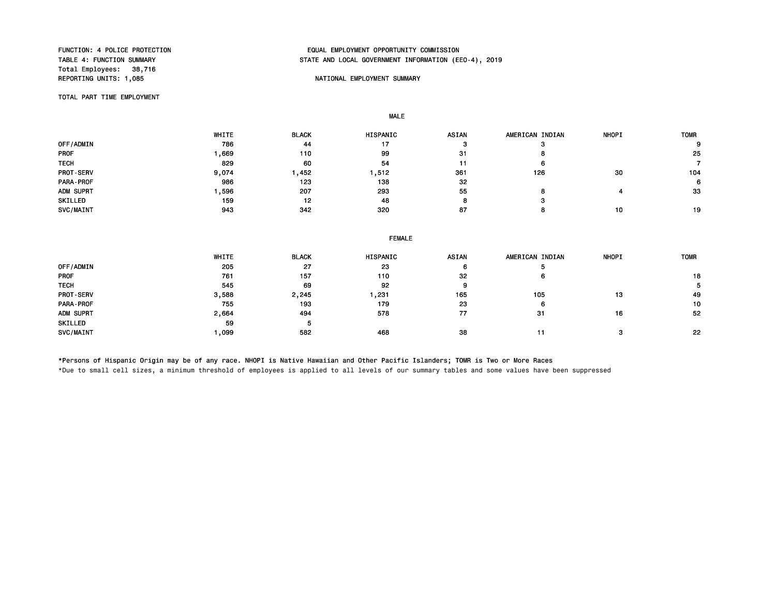Total Employees: 38,716 REPORTING UNITS: 1,085 NATIONAL EMPLOYMENT SUMMARY

#### FUNCTION: 4 POLICE PROTECTION<br>TABLE 4: FUNCTION SUMMARY TABLE AND LOCAL GOVERNMENT INFORMATION (EE STATE AND LOCAL GOVERNMENT INFORMATION (EEO-4), 2019

TOTAL PART TIME EMPLOYMENT

MALE

|             | WHITE | <b>BLACK</b> | <b>HISPANIC</b> | <b>ASIAN</b> | AMERICAN INDIAN | <b>NHOPI</b> | <b>TOMR</b> |
|-------------|-------|--------------|-----------------|--------------|-----------------|--------------|-------------|
| OFF/ADMIN   | 786   | 44           | 17              |              |                 |              | 9           |
| <b>PROF</b> | ,669  | 110          | 99              | 31           |                 |              | 25          |
| <b>TECH</b> | 829   | 60           | 54              | 11           | n               |              |             |
| PROT-SERV   | 9,074 | .452         | ,512            | 361          | 126             | 30           | 104         |
| PARA-PROF   | 986   | 123          | 138             | 32           |                 |              | 6           |
| ADM SUPRT   | .596  | 207          | 293             | 55           |                 |              | 33          |
| SKILLED     | 159   | 12           | 48              |              |                 |              |             |
| SVC/MAINT   | 943   | 342          | 320             | 87           |                 | 10           | 19          |

|                  | WHITE | <b>BLACK</b> | <b>HISPANIC</b> | <b>ASIAN</b> | AMERICAN INDIAN | <b>NHOPI</b> | <b>TOMR</b> |
|------------------|-------|--------------|-----------------|--------------|-----------------|--------------|-------------|
| OFF/ADMIN        | 205   | 27           | 23              | 6            |                 |              |             |
| <b>PROF</b>      | 761   | 157          | 110             | 32           | O               |              | 18          |
| <b>TECH</b>      | 545   | 69           | 92              | 9            |                 |              | 5           |
| <b>PROT-SERV</b> | 3,588 | 2,245        | ,231            | 165          | 105             | 13           | 49          |
| PARA-PROF        | 755   | 193          | 179             | 23           | 6               |              | 10          |
| ADM SUPRT        | 2,664 | 494          | 578             | 77           | 31              | 16           | 52          |
| SKILLED          | 59    |              |                 |              |                 |              |             |
| SVC/MAINT        | ,099  | 582          | 468             | 38           | 11              |              | 22          |

\*Persons of Hispanic Origin may be of any race. NHOPI is Native Hawaiian and Other Pacific Islanders; TOMR is Two or More Races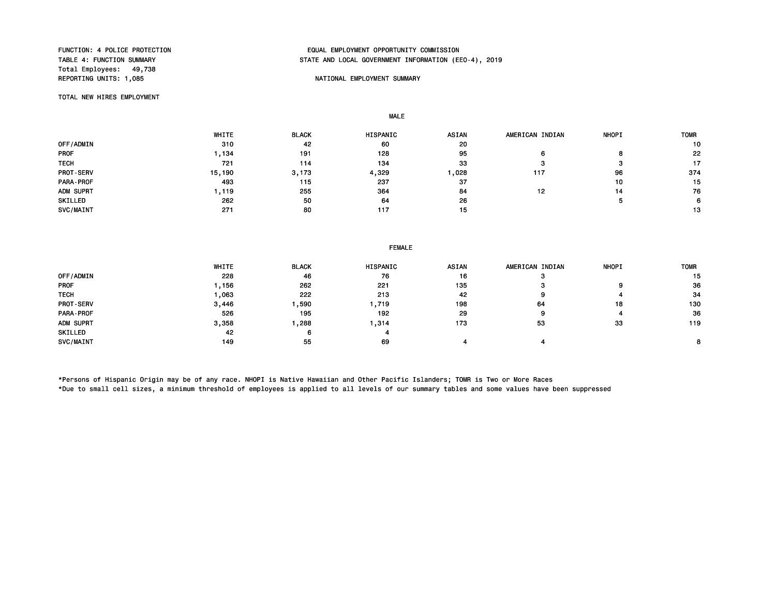Total Employees: 49,738

#### FUNCTION: 4 POLICE PROTECTION<br>TABLE 4: FUNCTION SUMMARY TABLE AND LOCAL GOVERNMENT INFORMATION (EDUAL TABLE 4: FUNCTION SUMMARY STATE AND LOCAL GOVERNMENT INFORMATION (EEO-4), 2019

#### REPORTING UNITS: 1,085 NATIONAL EMPLOYMENT SUMMARY

TOTAL NEW HIRES EMPLOYMENT

MALE

 WHITE BLACK HISPANIC ASIAN AMERICAN INDIAN NHOPI TOMR OFF/ADMIN 310 42 60 20 10 PROF 1,134 191 128 95 6 8 22 TECH 721 114 134 33 3 3 17 PROT-SERV 15,190 3,173 4,329 1,028 117 96 374 PARA-PROF 493 115 237 37 10 15 ADM SUPRT 1,119 255 364 84 12 14 76 SKILLED 262 50 64 26 5 6 SVC/MAINT 271 80 117 15 13

#### FEMALE

|                  | WHITE | <b>BLACK</b> | <b>HISPANIC</b> | <b>ASIAN</b> | AMERICAN INDIAN | <b>NHOPI</b> | <b>TOMR</b> |
|------------------|-------|--------------|-----------------|--------------|-----------------|--------------|-------------|
| OFF/ADMIN        | 228   | 46           | 76              | 16           | œ               |              | 15          |
| <b>PROF</b>      | , 156 | 262          | 221             | 135          | 57              | 9            | 36          |
| <b>TECH</b>      | .063  | 222          | 213             | -42          | 9               |              | 34          |
| <b>PROT-SERV</b> | 3.446 | .590         | 719. .          | 198          | 64              | 18           | 130         |
| PARA-PROF        | 526   | 195          | 192             | 29           | 9               |              | 36          |
| ADM SUPRT        | 3,358 | ,288         | ,314            | 173          | 53              | 33           | 119         |
| SKILLED          | 42    | 6            |                 |              |                 |              |             |
| SVC/MAINT        | 149   | 55           | 69              |              |                 |              |             |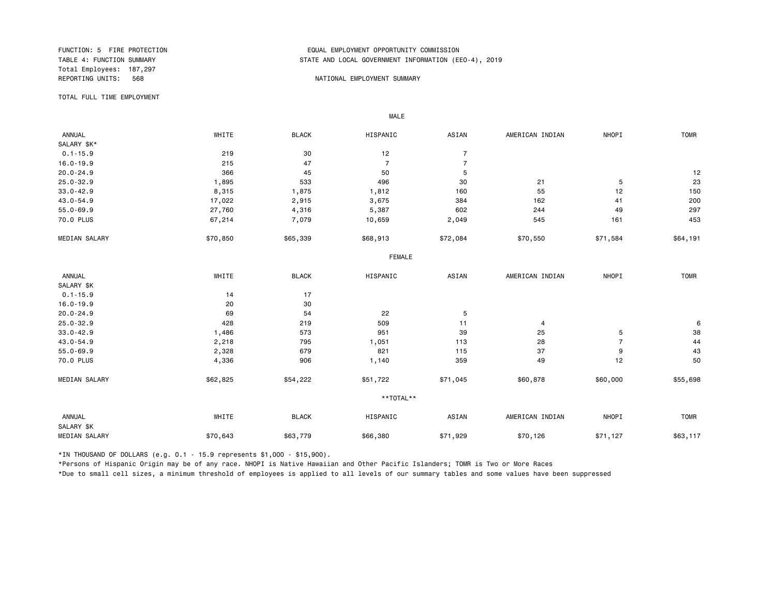Total Employees: 187,297

#### FUNCTION: 5 FIRE PROTECTION<br>TABLE 4: FUNCTION SUMMARY TABLE AND LOCAL GOVERNMENT INFORMATION (EDUAL TABLE 4: FUNCTION SUMMARY STATE AND LOCAL GOVERNMENT INFORMATION (EEO-4), 2019

#### REPORTING UNITS: 568 NATIONAL EMPLOYMENT SUMMARY

TOTAL FULL TIME EMPLOYMENT

 ANNUAL WHITE BLACK HISPANIC ASIAN AMERICAN INDIAN NHOPI TOMR SALARY \$K\*<br>0.1-15.9  $0.1-15.9$  219  $219$  30  $12$  7 16.0-19.9 215 47 7 7 20.0-24.9 366 45 50 5 12 25.0-32.9 1,895 533 496 30 21 5 23 33.0-42.9 8,315 1,875 1,812 160 55 12 150 43.0-54.9 17,022 2,915 3,675 384 162 41 200 55.0-69.9 27,760 4,316 5,387 602 244 49 297 70.0 PLUS 67,214 7,079 10,659 2,049 545 161 453 MEDIAN SALARY \$70,850 \$65,339 \$68,913 \$72,084 \$70,550 \$1,1584 \$64,191 FEMALE **FRAME**  ANNUAL WHITE BLACK HISPANIC ASIAN AMERICAN INDIAN NHOPI TOMR SALARY \$K<br>0.1-15.9 0.1-15.9 14 17 16.0-19.9 20 30  $20.0-24.9$  54 22 5 25.0-32.9 428 219 509 11 4 6 33.0-42.9 1,486 573 951 39 25 5 38 43.0-54.9 2,218 795 1,051 113 28 7 44 55.0-69.9 2,328 679 821 115 37 9 43 70.0 PLUS 4,336 906 1,140 359 49 12 50 MEDIAN SALARY \$62,825 \$54,222 \$51,722 \$71,045 \$60,878 \$60,000 \$55,698 \*\*TOTAL\*\* ANNUAL WHITE BLACK HISPANIC ASIAN AMERICAN INDIAN NHOPI TOMR SALARY \$K MEDIAN SALARY \$70,643 \$63,779 \$66,380 \$70,126 \$70,126 \$71,127 \$63,117

\*IN THOUSAND OF DOLLARS (e.g. 0.1 - 15.9 represents \$1,000 - \$15,900).

MALE

\*Persons of Hispanic Origin may be of any race. NHOPI is Native Hawaiian and Other Pacific Islanders; TOMR is Two or More Races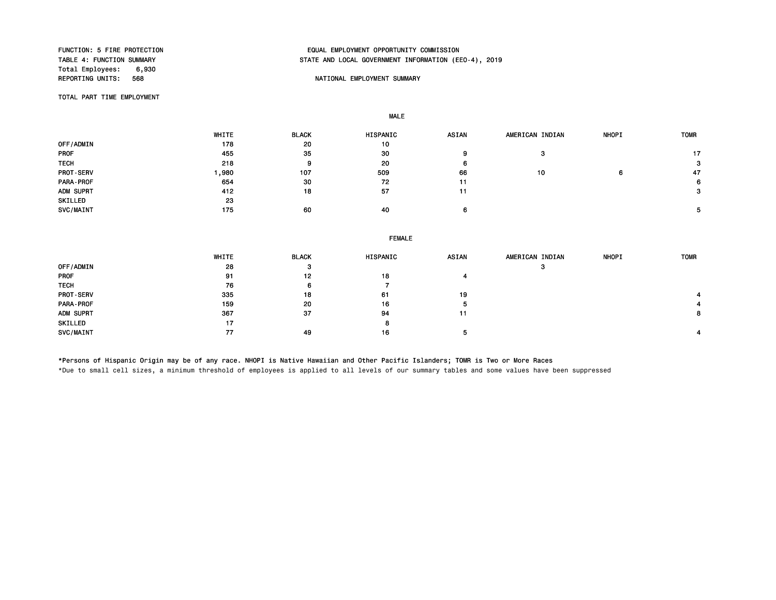Total Employees: 6,930<br>REPORTING UNITS: 568

#### FUNCTION: 5 FIRE PROTECTION EQUAL EMPLOYMENT OPPORTUNITY COMMISSION STATE AND LOCAL GOVERNMENT INFORMATION (EEO-4), 2019

#### NATIONAL EMPLOYMENT SUMMARY

TOTAL PART TIME EMPLOYMENT

MALE

 WHITE BLACK HISPANIC ASIAN AMERICAN INDIAN NHOPI TOMR 0FF/ADMIN 178 20 10 PROF 455 35 30 9 3 17 TECH 218 9 20 6 3 PROT-SERV 1,980 107 509 66 10 6 47 PARA-PROF 654 30 72 11 6 ADM SUPRT 412 18 57 11 3 SKILLED 23<br>SVC/MAINT 175 SVC/MAINT 175 60 40 6 5

|                  | <b>FEMALE</b> |              |          |       |                 |              |             |
|------------------|---------------|--------------|----------|-------|-----------------|--------------|-------------|
|                  | WHITE         | <b>BLACK</b> | HISPANIC | ASIAN | AMERICAN INDIAN | <b>NHOPI</b> | <b>TOMR</b> |
| OFF/ADMIN        | 28            | -3           |          |       | з               |              |             |
| PROF             | 91            | 12           | 18       |       |                 |              |             |
| <b>TECH</b>      | 76            | 6            |          |       |                 |              |             |
| <b>PROT-SERV</b> | 335           | 18           | 61       | 19    |                 |              |             |
| <b>PARA-PROF</b> | 159           | 20           | 16       | 5     |                 |              |             |
| ADM SUPRT        | 367           | -37          | 94       | 11    |                 |              | 8           |
| SKILLED          | 17            |              | 8        |       |                 |              |             |
| SVC/MAINT        | 77            | 49           | 16       | -5    |                 |              |             |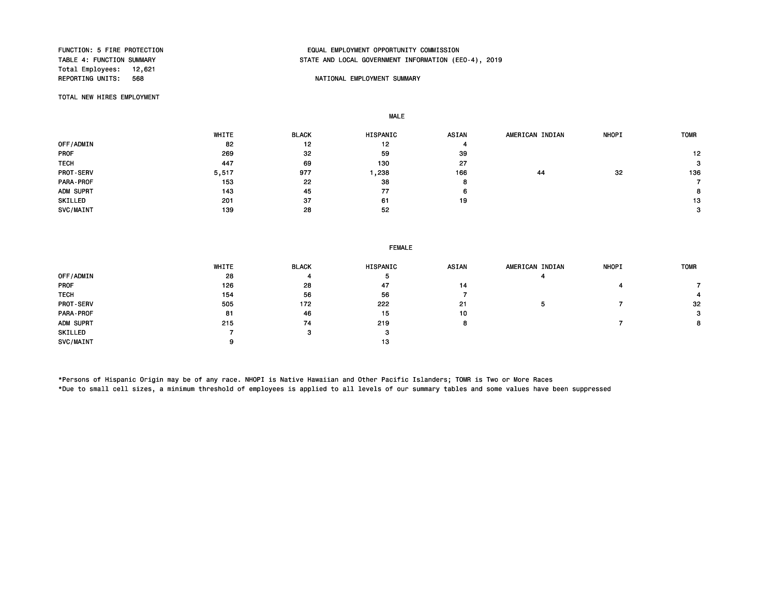Total Employees: 12,621<br>REPORTING UNITS: 568

#### FUNCTION: 5 FIRE PROTECTION EQUAL EMPLOYMENT OPPORTUNITY COMMISSION STATE AND LOCAL GOVERNMENT INFORMATION (EEO-4), 2019

#### NATIONAL EMPLOYMENT SUMMARY

TOTAL NEW HIRES EMPLOYMENT

MALE

 WHITE BLACK HISPANIC ASIAN AMERICAN INDIAN NHOPI TOMR OFF/ADMIN 82 12 12 4 PROF 269 32 59 39 12 TECH 447 69 130 27 3 PROT-SERV 5,517 977 1,238 166 44 32 136 PARA-PROF 153 22 38 8 7 ADM SUPRT 2008 2012 12:00 12:00 143 2012 12:00 12:00 12:00 12:00 12:00 12:00 12:00 12:00 12:00 12:00 12:00 12:0 SKILLED 201 37 61 19 13  $SVC/MAINT$  30  $39$   $28$   $52$   $52$   $3$ 

|                  | WHITE | <b>BLACK</b> | HISPANIC | <b>ASIAN</b> | AMERICAN INDIAN | <b>NHOPI</b> | <b>TOMR</b> |
|------------------|-------|--------------|----------|--------------|-----------------|--------------|-------------|
| OFF/ADMIN        | 28    |              | ∍        |              |                 |              |             |
| <b>PROF</b>      | 126   | 28           | 47       | 14           |                 |              |             |
| <b>TECH</b>      | 154   | 56           | 56       |              |                 |              |             |
| <b>PROT-SERV</b> | 505   | 172          | 222      | 21           |                 |              | 32          |
| PARA-PROF        | 81    | 46           | 15       | 10           |                 |              | 3           |
| ADM SUPRT        | 215   | 74           | 219      | 8            |                 |              | 8           |
| SKILLED          |       |              | 3        |              |                 |              |             |
| SVC/MAINT        |       |              | 13       |              |                 |              |             |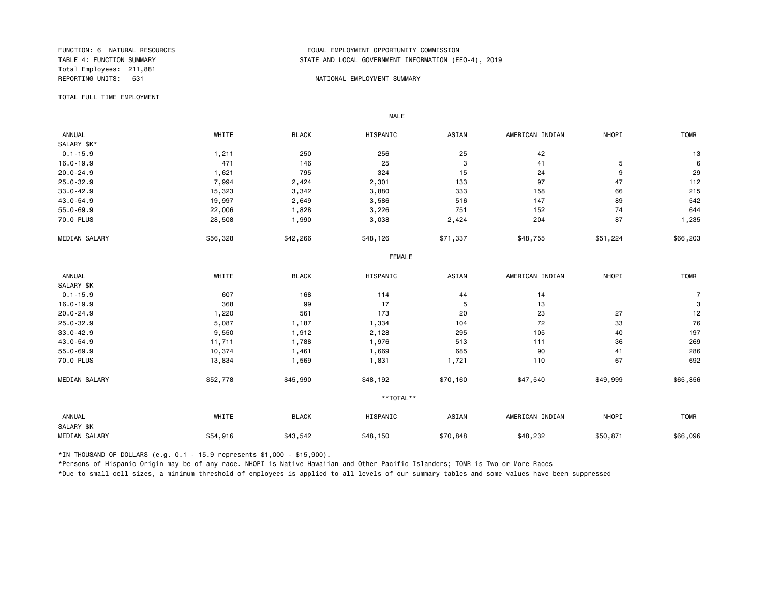Total Employees: 211,881

#### FUNCTION: 6 NATURAL RESOURCES EQUAL EMPLOYMENT OPPORTUNITY COMMISSION STATE AND LOCAL GOVERNMENT INFORMATION (EEO-4), 2019

#### REPORTING UNITS: 531 NATIONAL EMPLOYMENT SUMMARY

TOTAL FULL TIME EMPLOYMENT

 ANNUAL WHITE BLACK HISPANIC ASIAN AMERICAN INDIAN NHOPI TOMR SALARY \$K\*<br>0.1-15.9  $0.1-15.9$  1,211 250 256 256 25 42 16.0-19.9 471 146 25 3 41 5 6 20.0-24.9 1,621 795 324 15 24 9 29 25.0-32.9 7,994 2,424 2,301 133 97 47 112 33.0-42.9 15,323 3,342 3,880 333 158 66 215 43.0-54.9 19,997 2,649 3,586 516 147 89 542 55.0-69.9 22,006 1,828 3,226 751 152 74 644 70.0 PLUS 28,508 1,990 3,038 2,424 204 87 1,235 MEDIAN SALARY \$56,328 \$42,266 \$48,126 \$71,337 \$48,755 \$56,203 \$66,203 FEMALE **FRAME**  ANNUAL WHITE BLACK HISPANIC ASIAN AMERICAN INDIAN NHOPI TOMR SALARY \$K<br>0.1-15.9  $0.1-15.9$  607 607 168 114 44 14 14 15.9 16.0-19.9 368 99 17 5 13 3 20.0-24.9 1,220 561 173 20 23 27 12 25.0-32.9 5,087 1,187 1,334 104 72 33 76 33.0-42.9 9,550 1,912 2<sub>,</sub>128 295 105 40 197 43.0-54.9 11,711 1,788 1,976 513 111 36 269 55.0-69.9 10,374 1,461 1,669 685 90 41 286 70.0 PLUS 13,834 1,569 1,831 1,721 110 67 692 MEDIAN SALARY \$52,778 \$45,990 \$48,192 \$70,160 \$47,540 \$49,999 \$65,856 \*\*TOTAL\*\* ANNUAL WHITE BLACK HISPANIC ASIAN AMERICAN INDIAN NHOPI TOMR SALARY \$K MEDIAN SALARY \$54,916 \$43,542 \$48,150 \$70,848 \$48,232 \$50,871 \$66,096

\*IN THOUSAND OF DOLLARS (e.g. 0.1 - 15.9 represents \$1,000 - \$15,900).

MALE

\*Persons of Hispanic Origin may be of any race. NHOPI is Native Hawaiian and Other Pacific Islanders; TOMR is Two or More Races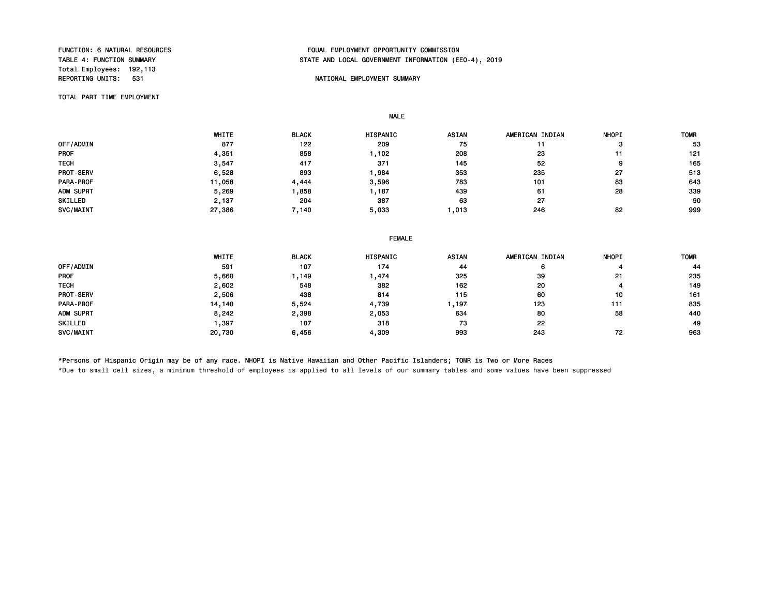Total Employees: 192,113<br>REPORTING UNITS: 531

#### FUNCTION: 6 NATURAL RESOURCES FUNCTION: EQUAL EMPLOYMENT OPPORTUNITY COMMISSION<br>TABLE 4: FUNCTION SUMMARY THE STATE AND LOCAL GOVERNMENT INFORMATION (ER STATE AND LOCAL GOVERNMENT INFORMATION (EEO-4), 2019

#### NATIONAL EMPLOYMENT SUMMARY

TOTAL PART TIME EMPLOYMENT

MALE

 WHITE BLACK HISPANIC ASIAN AMERICAN INDIAN NHOPI TOMR 0FF/ADMIN 877 122 209 75 11 3 53 PROF 4,351 858 1,102 208 23 11 121 TECH 3,547 417 371 145 52 9 165 PROT-SERV 6,528 893 1,984 353 235 27 513 PARA-PROF 11,058 4,444 3,596 783 101 83 643 ADM SUPRT 5,269 1,858 1,187 439 61 28 339 SKILLED 2,137 204 387 63 27 90 SVC/MAINT 27,386 7,140 5,033 1,013 246 82 999

|                  | <b>FEMALE</b> |              |                 |              |                 |              |             |  |
|------------------|---------------|--------------|-----------------|--------------|-----------------|--------------|-------------|--|
|                  | WHITE         | <b>BLACK</b> | <b>HISPANIC</b> | <b>ASIAN</b> | AMERICAN INDIAN | <b>NHOPI</b> | <b>TOMR</b> |  |
| OFF/ADMIN        | 591           | 107          | 174             | 44           | 6               |              | 44          |  |
| <b>PROF</b>      | 5,660         | 149. ا       | ,474            | 325          | 39              | 21           | 235         |  |
| <b>TECH</b>      | 2,602         | 548          | 382             | 162          | 20              |              | 149         |  |
| <b>PROT-SERV</b> | 2,506         | 438          | 814             | 115          | 60              | 10           | 161         |  |
| PARA-PROF        | 14,140        | 5,524        | 4,739           | , 197        | 123             | 111          | 835         |  |
| ADM SUPRT        | 8,242         | 2,398        | 2,053           | 634          | 80              | 58           | 440         |  |
| SKILLED          | .397          | 107          | 318             | 73           | 22              |              | 49          |  |
| SVC/MAINT        | 20,730        | 6,456        | 4,309           | 993          | 243             | 72           | 963         |  |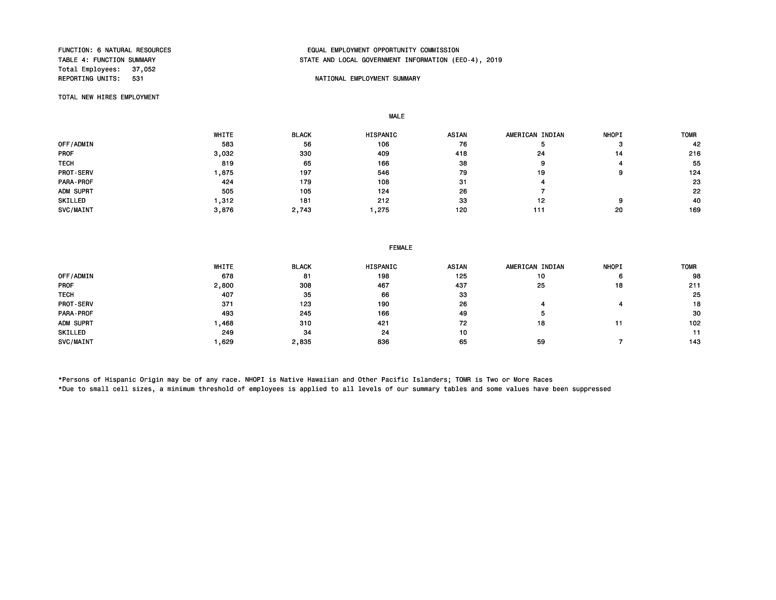Total Employees: 37,052

#### FUNCTION: 6 NATURAL RESOURCES FUNCTION: EQUAL EMPLOYMENT OPPORTUNITY COMMISSION<br>TABLE 4: FUNCTION SUMMARY TABLE AND LOCAL GOVERNMENT INFORMATION (EE STATE AND LOCAL GOVERNMENT INFORMATION (EEO-4), 2019

#### NATIONAL EMPLOYMENT SUMMARY

TOTAL NEW HIRES EMPLOYMENT

MALE

|             | WHITE | <b>BLACK</b> | HISPANIC | <b>ASIAN</b> | AMERICAN INDIAN | <b>NHOPI</b> | <b>TOMR</b> |
|-------------|-------|--------------|----------|--------------|-----------------|--------------|-------------|
| OFF/ADMIN   | 583   | 56           | 106      | 76           |                 | ິ            | 42          |
| <b>PROF</b> | 3,032 | 330          | 409      | 418          | 24              | 14           | 216         |
| <b>TECH</b> | 819   | 65           | 166      | 38           | 9               |              | 55          |
| PROT-SERV   | ,875  | 197          | 546      | 79           | 19              | 9            | 124         |
| PARA-PROF   | 424   | 179          | 108      | 31           |                 |              | 23          |
| ADM SUPRT   | 505   | 105          | 124      | 26           |                 |              | 22          |
| SKILLED     | ,312  | 181          | 212      | 33           | 12              | ο            | 40          |
| SVC/MAINT   | 3,876 | 2,743        | , 275    | 120          | 111             | 20           | 169         |

|  | <b>FEMALE</b> |
|--|---------------|
|  |               |

|                  | WHITE | <b>BLACK</b> | <b>HISPANIC</b> | <b>ASIAN</b> | AMERICAN INDIAN | <b>NHOPI</b> | <b>TOMR</b> |
|------------------|-------|--------------|-----------------|--------------|-----------------|--------------|-------------|
| OFF/ADMIN        | 678   | 81           | 198             | 125          | 10              | 6            | 98          |
| <b>PROF</b>      | 2,800 | 308          | 467             | 437          | 25              | 18           | 211         |
| <b>TECH</b>      | 407   | 35           | 66              | 33           |                 |              | 25          |
| <b>PROT-SERV</b> | 371   | 123          | 190             | 26           |                 |              | 18          |
| <b>PARA-PROF</b> | 493   | 245          | 166             | 49           |                 |              | 30          |
| ADM SUPRT        | .468  | 310          | 421             | 72           | 18              |              | 102         |
| SKILLED          | 249   | 34           | 24              | 10           |                 |              | 11          |
| SVC/MAINT        | ,629  | 2,835        | 836             | 65           | 59              |              | 143         |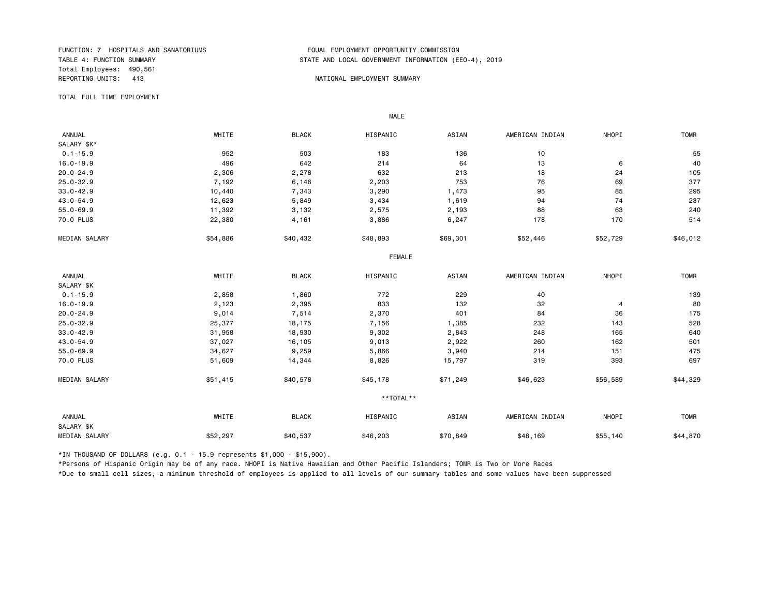Total Employees: 490,561 REPORTING UNITS: 413 NATIONAL EMPLOYMENT SUMMARY

#### FUNCTION: 7 HOSPITALS AND SANATORIUMS EQUAL EMPLOYMENT OPPORTUNITY COMMISSION STATE AND LOCAL GOVERNMENT INFORMATION (EEO-4), 2019

TOTAL FULL TIME EMPLOYMENT

 ANNUAL WHITE BLACK HISPANIC ASIAN AMERICAN INDIAN NHOPI TOMR SALARY \$K\*<br>0.1-15.9 0.1-15.9 952 503 183 136 10 55 16.0-19.9 496 642 214 64 13 6 40 20.0-24.9 2,306 2,278 632 213 18 24 105 25.0-32.9 7,192 6,146 2,203 753 76 69 377 33.0-42.9 10,440 7,343 3,290 1,473 95 85 295 43.0-54.9 12,623 5,849 3,434 1,619 94 74 237 55.0-69.9 11,392 3,132 2,575 2,193 88 63 240 70.0 PLUS 22,380 4,161 3,886 6,247 178 170 514 MEDIAN SALARY \$54,886 \$40,432 \$48,893 \$69,301 \$52,446 \$52,729 \$46,012 FEMALE **FRAME**  ANNUAL WHITE BLACK HISPANIC ASIAN AMERICAN INDIAN NHOPI TOMR SALARY \$K<br>0.1-15.9  $0.1$ -15.9 200 2,858 1,860 272 229 40 2011.5.9 139 16.0-19.9 2,123 2,395 833 132 32 4 80 20.0-24.9 9,014 7,514 2,370 401 84 36 175 25.0-32.9 25,377 18,175 7,156 1,385 232 143 528 33.0-42.9 31,958 18,930 9,302 2,843 248 165 640 43.0-54.9 37,027 16,105 9,013 2,922 260 162 501 55.0-69.9 34,627 9,259 5,866 3,940 214 151 475 70.0 PLUS 51,609 14,344 8,826 15,797 319 393 697 MEDIAN SALARY \$51,415 \$40,578 \$45,178 \$71,249 \$46,623 \$56,589 \$44,329 \*\*TOTAL\*\* ANNUAL WHITE BLACK HISPANIC ASIAN AMERICAN INDIAN NHOPI TOMR SALARY \$K MEDIAN SALARY \$52,297 \$40,537 \$46,203 \$48,169 \$55,140 \$44,870

\*IN THOUSAND OF DOLLARS (e.g. 0.1 - 15.9 represents \$1,000 - \$15,900).

MALE

\*Persons of Hispanic Origin may be of any race. NHOPI is Native Hawaiian and Other Pacific Islanders; TOMR is Two or More Races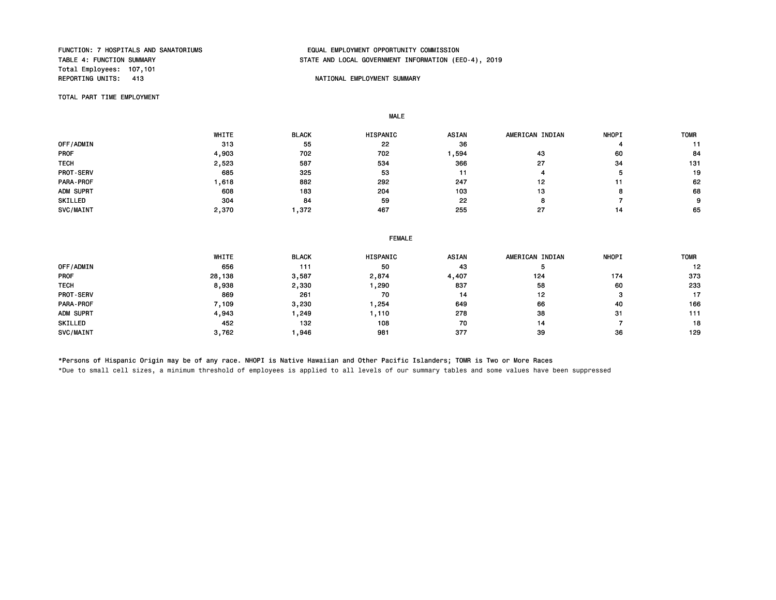Total Employees: 107,101

## FUNCTION: 7 HOSPITALS AND SANATORIUMS EQUAL EMPLOYMENT OPPORTUNITY COMMISSION STATE AND LOCAL GOVERNMENT INFORMATION (EEO-4), 2019

#### NATIONAL EMPLOYMENT SUMMARY

TOTAL PART TIME EMPLOYMENT

MALE

|                  | WHITE | <b>BLACK</b> | <b>HISPANIC</b> | <b>ASIAN</b> | AMERICAN INDIAN | <b>NHOPI</b> | <b>TOMR</b> |
|------------------|-------|--------------|-----------------|--------------|-----------------|--------------|-------------|
| OFF/ADMIN        | 313   | 55           | 22              | 36           |                 |              |             |
| <b>PROF</b>      | 4,903 | 702          | 702             | ,594         | 43              | 60           | 84          |
| <b>TECH</b>      | 2,523 | 587          | 534             | 366          | 27              | -34          | 131         |
| <b>PROT-SERV</b> | 685   | 325          | 53              | 11           |                 |              | 19          |
| <b>PARA-PROF</b> | .618  | 882          | 292             | 247          | 12              |              | 62          |
| ADM SUPRT        | 608   | 183          | 204             | 103          | 13              |              | 68          |
| SKILLED          | 304   | 84           | 59              | 22           |                 |              | 9.          |
| SVC/MAINT        | 2,370 | ,372         | 467             | 255          |                 |              | 65          |

## FEMALE WHITE BLACK HISPANIC ASIAN AMERICAN INDIAN NHOPI TOMR OFF/ADMIN 656 111 50 43 5 12 PROF 28,138 3,587 2,874 4,407 124 174 373 TECH 8,938 2,330 1,290 837 58 60 233 PROT-SERV 869 261 70 14 12 3 17 PARA-PROF 7,109 3,230 1,254 649 66 40 166 ADM SUPRT 4,943 1,249 1,110 278 38 31 111 SKILLED 452 132 108 70 14 7 18 SVC/MAINT 3,762 1,946 981 377 39 36 129

\*Persons of Hispanic Origin may be of any race. NHOPI is Native Hawaiian and Other Pacific Islanders; TOMR is Two or More Races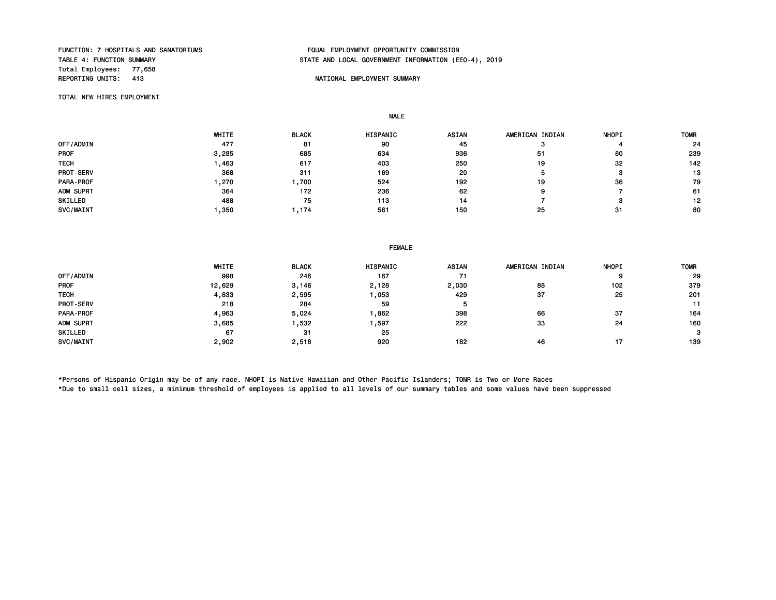Total Employees: 77,658<br>REPORTING UNITS: 413

## FUNCTION: 7 HOSPITALS AND SANATORIUMS EQUAL EMPLOYMENT OPPORTUNITY COMMISSION STATE AND LOCAL GOVERNMENT INFORMATION (EEO-4), 2019

#### NATIONAL EMPLOYMENT SUMMARY

TOTAL NEW HIRES EMPLOYMENT

MALE

|             | WHITE | <b>BLACK</b> | <b>HISPANIC</b> | ASIAN | AMERICAN INDIAN | <b>NHOPI</b> | <b>TOMR</b> |
|-------------|-------|--------------|-----------------|-------|-----------------|--------------|-------------|
| OFF/ADMIN   | 477   | 81           | 90              | 45    |                 |              | 24          |
| <b>PROF</b> | 3,285 | 685          | 634             | 936   | 51              | 80           | 239         |
| <b>TECH</b> | ,463  | 617          | 403             | 250   | 19              | 32           | 142         |
| PROT-SERV   | 368   | 311          | 169             | 20    |                 |              | 13          |
| PARA-PROF   | , 270 | ,700         | 524             | 192   | 19              | 36           | 79          |
| ADM SUPRT   | 364   | 172          | 236             | 62    |                 |              | 61          |
| SKILLED     | 488   | 75           | 113             | 14    |                 |              | 12          |
| SVC/MAINT   | ,350  | , 174        | 561             | 150   | 25              | 31           | 80          |

|                  |        | <b>FEMALE</b> |          |       |                 |              |             |  |  |  |
|------------------|--------|---------------|----------|-------|-----------------|--------------|-------------|--|--|--|
|                  | WHITE  | <b>BLACK</b>  | HISPANIC | ASIAN | AMERICAN INDIAN | <b>NHOPI</b> | <b>TOMR</b> |  |  |  |
| OFF/ADMIN        | 998    | 246           | 167      | 71    |                 |              | 29          |  |  |  |
| <b>PROF</b>      | 12,629 | 3,146         | 2,128    | 2,030 | 88              | 102          | 379         |  |  |  |
| <b>TECH</b>      | 4,833  | 2,595         | ,053     | 429   | 37              | 25           | 201         |  |  |  |
| <b>PROT-SERV</b> | 218    | 284           | 59       |       |                 |              | 11          |  |  |  |
| PARA-PROF        | 4,963  | 5,024         | .862     | 398   | 66              | 37           | 164         |  |  |  |
| ADM SUPRT        | 3,685  | .532          | ,597     | 222   | 33              | 24           | 160         |  |  |  |
| SKILLED          | 67     | 31            | 25       |       |                 |              | 3           |  |  |  |
| SVC/MAINT        | 2,902  | 2,518         | 920      | 182   | 46              | 17           | 139         |  |  |  |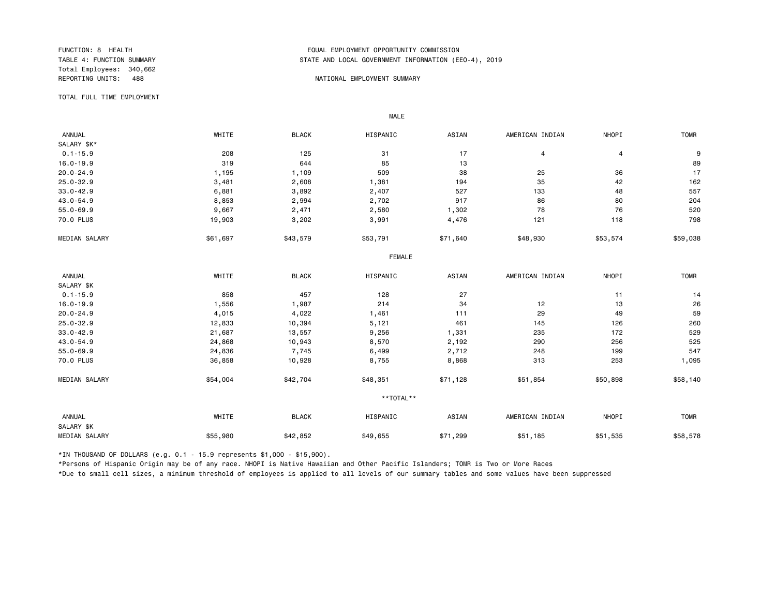Total Employees: 340,662

#### FUNCTION: 8 HEALTH EQUAL EMPLOYMENT OPPORTUNITY COMMISSION STATE AND LOCAL GOVERNMENT INFORMATION (EEO-4), 2019

#### REPORTING UNITS: 488 NATIONAL EMPLOYMENT SUMMARY

TOTAL FULL TIME EMPLOYMENT

 ANNUAL WHITE BLACK HISPANIC ASIAN AMERICAN INDIAN NHOPI TOMR SALARY \$K\*<br>0.1-15.9  $0.1-15.9$  208 208 125 31 17 4 4 4 9 16.0-19.9 319 644 85 13 89 20.0-24.9 1,195 1,109 509 38 25 36 17 25.0-32.9 3,481 2,608 1,381 194 35 42 162 33.0-42.9 6,881 3,892 2,407 527 133 48 557 43.0-54.9 8,853 2,994 2,702 917 86 80 204 55.0-69.9 9,667 2,471 2,580 1,302 78 76 520 70.0 PLUS 19,903 3,202 3,991 4,476 121 118 798 MEDIAN SALARY \$51,697 \$43,579 \$53,791 \$48,930 \$53,574 \$59,038 FEMALE **FRAME**  ANNUAL WHITE BLACK HISPANIC ASIAN AMERICAN INDIAN NHOPI TOMR SALARY \$K<br>0.1-15.9  $0.1-15.9$  858 858 457 128 27 11 11 14 16.0-19.9 100.0 1,000 1,000 1,000 1,000 1,000 1,000 14 14 15 26 26 26 27 12 12 13 26 20.0-24.9 4,015 4,022 1,461 111 29 49 59 25.0-32.9 12,833 10,394 5,121 461 145 126 260 33.0-42.9 21,687 13,557 9,256 1,331 235 172 529 43.0-54.9 24,868 10,943 8,570 2,192 290 256 525 55.0-69.9 24,836 7,745 6,499 2,712 248 199 547 70.0 PLUS 36,858 10,928 8,755 8,868 313 253 1,095 MEDIAN SALARY \$54,004 \$42,704 \$48,351 \$71,128 \$51,854 \$50,898 \$58,140 \*\*TOTAL\*\* ANNUAL WHITE BLACK HISPANIC ASIAN AMERICAN INDIAN NHOPI TOMR SALARY \$K MEDIAN SALARY \$55,980 \$42,852 \$79,655 \$71,299 \$51,185 \$51,535 \$58,578

\*IN THOUSAND OF DOLLARS (e.g. 0.1 - 15.9 represents \$1,000 - \$15,900).

MALE

\*Persons of Hispanic Origin may be of any race. NHOPI is Native Hawaiian and Other Pacific Islanders; TOMR is Two or More Races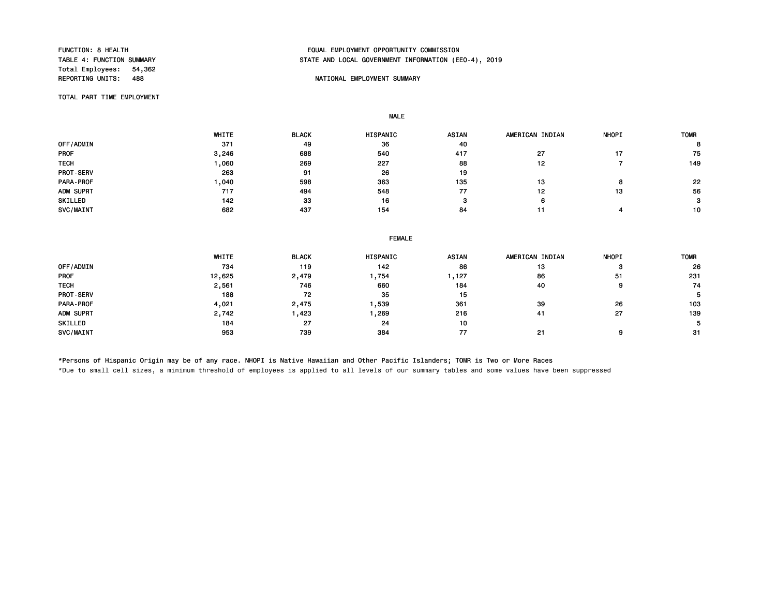Total Employees: 54,362<br>REPORTING UNITS: 488

#### FUNCTION: 8 HEALTH EQUAL EMPLOYMENT OPPORTUNITY COMMISSION STATE AND LOCAL GOVERNMENT INFORMATION (EEO-4), 2019

#### NATIONAL EMPLOYMENT SUMMARY

TOTAL PART TIME EMPLOYMENT

MALE

|                  | WHITE | <b>BLACK</b> | <b>HISPANIC</b> | <b>ASIAN</b> | AMERICAN INDIAN | <b>NHOPI</b> | <b>TOMR</b> |
|------------------|-------|--------------|-----------------|--------------|-----------------|--------------|-------------|
| OFF/ADMIN        | 371   | 49           | 36              | 40           |                 |              |             |
| <b>PROF</b>      | 3,246 | 688          | 540             | 417          | 27              |              | 75          |
| <b>TECH</b>      | ,060  | 269          | 227             | 88           | 12              |              | 149         |
| <b>PROT-SERV</b> | 263   | 91           | 26              | 19           |                 |              |             |
| <b>PARA-PROF</b> | ,040  | 598          | 363             | 135          | 13              |              | 22          |
| ADM SUPRT        | 717   | 494          | 548             | 77           | 12              | 13           | 56          |
| SKILLED          | 142   | 33           | 16              |              | 6               |              | 3           |
| SVC/MAINT        | 682   | 437          | 154             | 84           |                 |              | 10          |

| <b>FEMALE</b> |
|---------------|
|               |

|             | WHITE  | <b>BLACK</b> | <b>HISPANIC</b> | <b>ASIAN</b> | AMERICAN INDIAN | <b>NHOPI</b> | <b>TOMR</b> |
|-------------|--------|--------------|-----------------|--------------|-----------------|--------------|-------------|
| OFF/ADMIN   | 734    | 119          | 142             | 86           | 13              | э            | 26          |
| <b>PROF</b> | 12,625 | 2,479        | ,754            | , 127        | 86              | 51           | 231         |
| <b>TECH</b> | 2,561  | 746          | 660             | 184          | 40              | g            | 74          |
| PROT-SERV   | 188    | 72           | 35              | 15           |                 |              | 5.          |
| PARA-PROF   | 4,021  | 2,475        | ,539            | 361          | 39              | 26           | 103         |
| ADM SUPRT   | 2,742  | .423         | ,269            | 216          | 41              | 27           | 139         |
| SKILLED     | 184    | 27           | 24              | 10           |                 |              | 5.          |
| SVC/MAINT   | 953    | 739          | 384             | 77           | 21              | g            | -31         |

\*Persons of Hispanic Origin may be of any race. NHOPI is Native Hawaiian and Other Pacific Islanders; TOMR is Two or More Races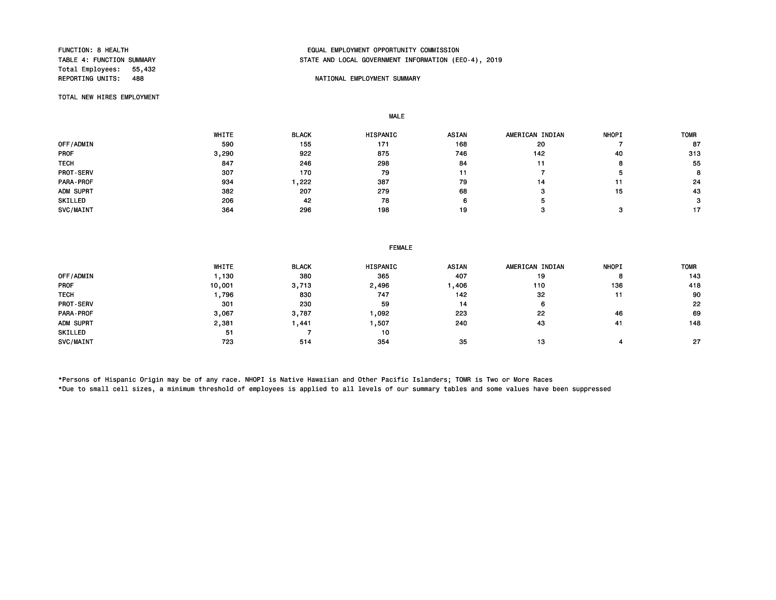Total Employees: 55,432

#### FUNCTION: 8 HEALTH EQUAL EMPLOYMENT OPPORTUNITY COMMISSION STATE AND LOCAL GOVERNMENT INFORMATION (EEO-4), 2019

#### NATIONAL EMPLOYMENT SUMMARY

TOTAL NEW HIRES EMPLOYMENT

MALE

|                  | WHITE | <b>BLACK</b> | HISPANIC | ASIAN | AMERICAN INDIAN | <b>NHOPI</b> | <b>TOMR</b>    |
|------------------|-------|--------------|----------|-------|-----------------|--------------|----------------|
| OFF/ADMIN        | 590   | 155          | 171      | 168   | 20              |              | 87             |
| <b>PROF</b>      | 3,290 | 922          | 875      | 746   | 142             | 40           | 313            |
| <b>TECH</b>      | 847   | 246          | 298      | 84    |                 |              | 55             |
| <b>PROT-SERV</b> | 307   | 170          | 79       |       |                 |              | $\bullet$<br>ö |
| PARA-PROF        | 934   | ,222         | 387      | 79    | 14              |              | 24             |
| ADM SUPRT        | 382   | 207          | 279      | 68    |                 | 15           | 43             |
| SKILLED          | 206   | 42           | 78       |       |                 |              | з              |
| SVC/MAINT        | 364   | 296          | 198      | 19    |                 |              | 17             |

|             | WHITE  | <b>BLACK</b> | <b>HISPANIC</b> | <b>ASIAN</b> | AMERICAN INDIAN | <b>NHOPI</b> | <b>TOMR</b> |
|-------------|--------|--------------|-----------------|--------------|-----------------|--------------|-------------|
| OFF/ADMIN   | , 130  | 380          | 365             | 407          | 19              |              | 143         |
| <b>PROF</b> | 10,001 | 3,713        | 2,496           | ,406         | 110             | 136          | 418         |
| <b>TECH</b> | ,796   | 830          | 747             | 142          | 32              |              | 90          |
| PROT-SERV   | 301    | 230          | 59              | 14           | 6               |              | 22          |
| PARA-PROF   | 3,067  | 3,787        | ,092            | 223          | 22              | 46           | 69          |
| ADM SUPRT   | 2,381  | .441         | ,507            | 240          | 43              | 41           | 148         |
| SKILLED     | 51     |              | 10              |              |                 |              |             |
| SVC/MAINT   | 723    | 514          | 354             | 35           | 13              |              | -27         |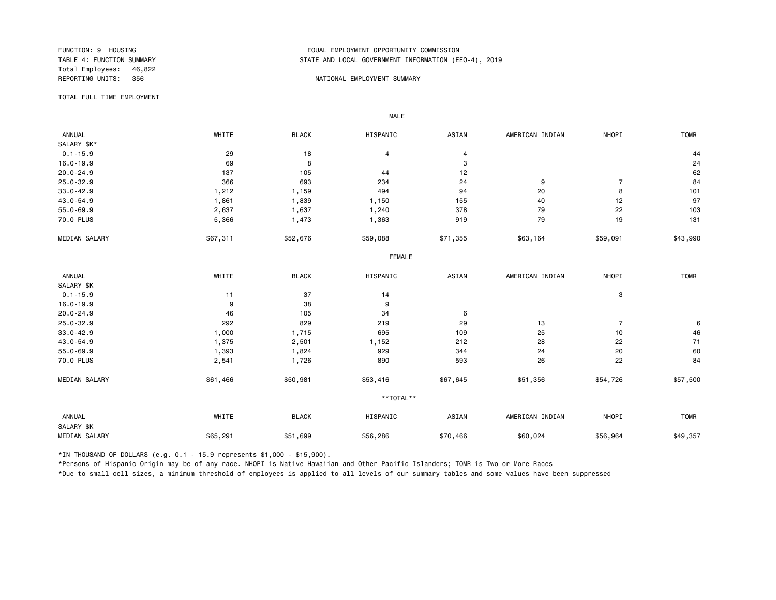Total Employees: 46,822

#### FUNCTION: 9 HOUSING EQUAL EMPLOYMENT OPPORTUNITY COMMISSION STATE AND LOCAL GOVERNMENT INFORMATION (EEO-4), 2019

#### REPORTING UNITS: 356 NATIONAL EMPLOYMENT SUMMARY

TOTAL FULL TIME EMPLOYMENT

 ANNUAL WHITE BLACK HISPANIC ASIAN AMERICAN INDIAN NHOPI TOMR SALARY \$K\*<br>0.1-15.9  $0.1-15.9$  29 29 18 4 4 4 5  $\pm 15.9$  4 4 4 4 4 5  $\pm 15.9$  $16.0-19.9$  24 20.0-24.9 137 105 44 12 62 25.0-32.9 366 693 234 24 9 7 84 33.0-42.9 1,212 1,159 494 94 20 8 101 43.0-54.9 1,861 1,839 1,150 155 40 12 97 55.0-69.9 2,637 1,637 1,240 378 79 22 103 70.0 PLUS 5,366 1,473 1,363 919 79 19 131 MEDIAN SALARY \$57,311 \$52,676 \$59,088 \$63,164 \$59,091 \$43,990 FEMALE **FRAME**  ANNUAL WHITE BLACK HISPANIC ASIAN AMERICAN INDIAN NHOPI TOMR SALARY \$K<br>0.1-15.9  $0.1-15.9$  37 14 3 16.0-19.9 9 38 9 9 30 9 30 1 31 32 33 34 35 36 37 38 38 39 30 31 32 38 39 30 30 31 32 30 30 30 30 30 31 32 30 20.0-24.9 6 105 34 6 105 34 6 105 34 6 6 20.0-24.9 5 6 20.0-24.9 5 6 20.0-24.9 5 6 20.0-24.9 5 6 20.0-24.9 5 6 25.0-32.9 292 829 219 29 13 7 6 33.0-42.9 1,000 1,715 695 109 25 10 46 43.0-54.9 1,375 2,501 1,152 212 28 22 71 55.0-69.9 1,393 1,824 929 344 24 20 60 70.0 PLUS 2,541 1,726 890 593 26 22 84 MEDIAN SALARY \$51,466 \$50,981 \$53,416 \$67,645 \$51,356 \$54,726 \$57,500 \*\*TOTAL\*\* ANNUAL WHITE BLACK HISPANIC ASIAN AMERICAN INDIAN NHOPI TOMR SALARY \$K MEDIAN SALARY \$65,291 \$51,699 \$56,286 \$60,024 \$56,964 \$49,357

\*IN THOUSAND OF DOLLARS (e.g. 0.1 - 15.9 represents \$1,000 - \$15,900).

MALE

\*Persons of Hispanic Origin may be of any race. NHOPI is Native Hawaiian and Other Pacific Islanders; TOMR is Two or More Races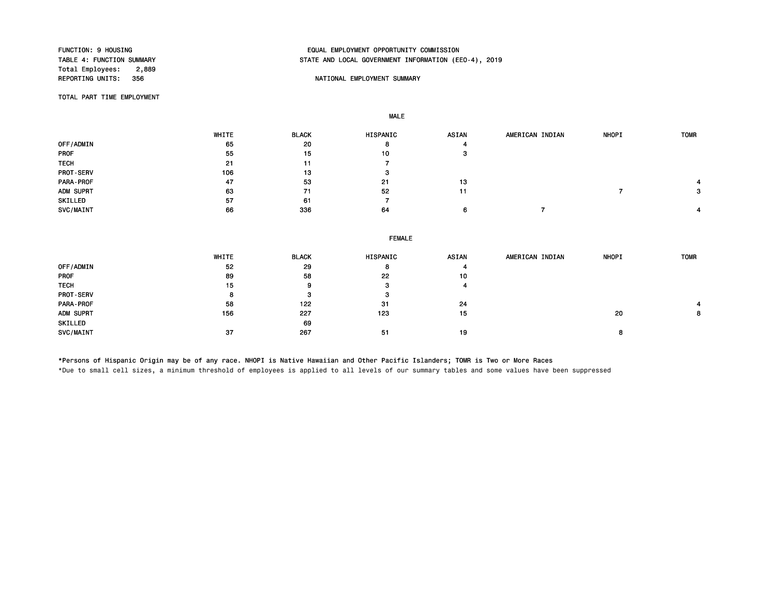Total Employees: 2,889<br>REPORTING UNITS: 356

#### FUNCTION: 9 HOUSING EQUAL EMPLOYMENT OPPORTUNITY COMMISSION STATE AND LOCAL GOVERNMENT INFORMATION (EEO-4), 2019

#### NATIONAL EMPLOYMENT SUMMARY

TOTAL PART TIME EMPLOYMENT

MALE

 WHITE BLACK HISPANIC ASIAN AMERICAN INDIAN NHOPI TOMR 0FF/ADMIN 20 8 4 PROF 55 15 10 3 TECH 21 11 7 PROT-SERV 106 13 3 PARA-PROF 47 53 21 13 4 ADM SUPRT 63 71 52 11 7 3 SKILLED 7 57 61 7 SVC/MAINT 66 336 64 6 7 4

|                  | <b>FEMALE</b> |              |          |              |                 |              |             |  |  |  |  |
|------------------|---------------|--------------|----------|--------------|-----------------|--------------|-------------|--|--|--|--|
|                  | WHITE         | <b>BLACK</b> | HISPANIC | <b>ASIAN</b> | AMERICAN INDIAN | <b>NHOPI</b> | <b>TOMR</b> |  |  |  |  |
| OFF/ADMIN        | 52            | 29           | 8        |              |                 |              |             |  |  |  |  |
| PROF             | 89            | 58           | 22       | 10           |                 |              |             |  |  |  |  |
| <b>TECH</b>      | 15            | 9            | 3        |              |                 |              |             |  |  |  |  |
| <b>PROT-SERV</b> | 8             |              | з        |              |                 |              |             |  |  |  |  |
| PARA-PROF        | 58            | 122          | -31      | 24           |                 |              |             |  |  |  |  |
| ADM SUPRT        | 156           | 227          | 123      | 15           |                 | 20           | 8           |  |  |  |  |
| SKILLED          |               | 69           |          |              |                 |              |             |  |  |  |  |
| SVC/MAINT        | -37           | 267          | -51      | 19           |                 | 8            |             |  |  |  |  |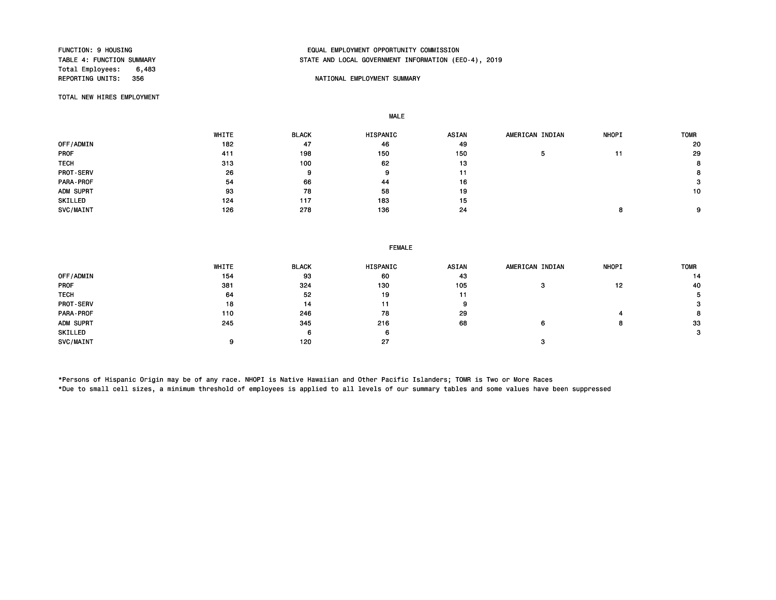Total Employees: 6,483<br>REPORTING UNITS: 356

#### FUNCTION: 9 HOUSING EQUAL EMPLOYMENT OPPORTUNITY COMMISSION STATE AND LOCAL GOVERNMENT INFORMATION (EEO-4), 2019

#### NATIONAL EMPLOYMENT SUMMARY

TOTAL NEW HIRES EMPLOYMENT

MALE

|                  | WHITE | <b>BLACK</b> | <b>HISPANIC</b> | <b>ASIAN</b> | AMERICAN INDIAN | <b>NHOPI</b> | <b>TOMR</b> |
|------------------|-------|--------------|-----------------|--------------|-----------------|--------------|-------------|
| OFF/ADMIN        | 182   | 47           | 46              | 49           |                 |              | 20          |
| <b>PROF</b>      | 411   | 198          | 150             | 150          |                 |              | 29          |
| <b>TECH</b>      | 313   | 100          | 62              | 13           |                 |              | 8           |
| <b>PROT-SERV</b> | 26    | 9            | 9               | 11           |                 |              | 8           |
| PARA-PROF        | 54    | 66           | 44              | 16           |                 |              | 3           |
| ADM SUPRT        | 93    | 78           | 58              | 19           |                 |              | 10          |
| SKILLED          | 124   | 117          | 183             | 15           |                 |              |             |
| SVC/MAINT        | 126   | 278          | 136             | 24           |                 |              | 9           |

|             | WHITE | <b>BLACK</b> | HISPANIC | ASIAN | AMERICAN INDIAN | <b>NHOPI</b> | <b>TOMR</b> |
|-------------|-------|--------------|----------|-------|-----------------|--------------|-------------|
| OFF/ADMIN   | 154   | 93           | 60       | 43    |                 |              | 14          |
| <b>PROF</b> | 381   | 324          | 130      | 105   |                 | 12           | 40          |
| <b>TECH</b> | 64    | 52           | 19       | 11    |                 |              |             |
| PROT-SERV   | 18    | 14           | 11       | 9     |                 |              | з           |
| PARA-PROF   | 110   | 246          | 78       | 29    |                 |              | 8           |
| ADM SUPRT   | 245   | 345          | 216      | 68    |                 |              | 33          |
| SKILLED     |       |              |          |       |                 |              | 3           |
| SVC/MAINT   |       | 120          | 27       |       |                 |              |             |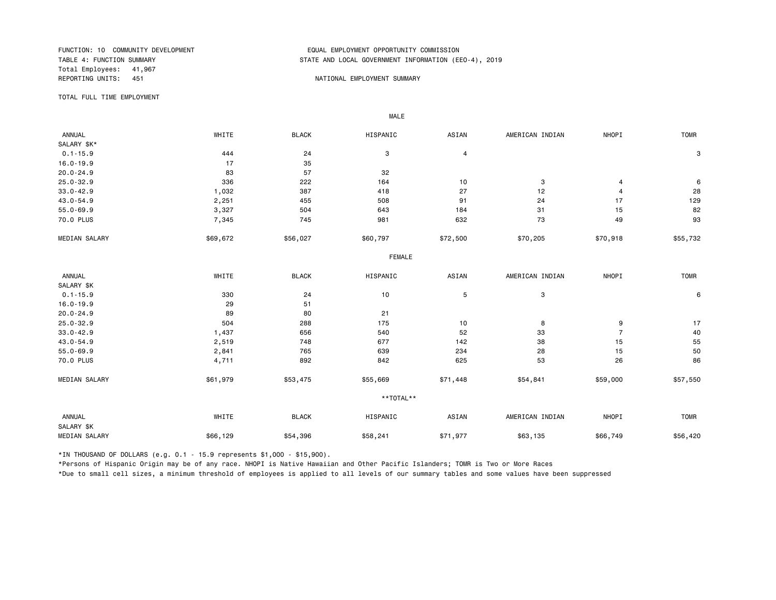Total Employees: 41,967 REPORTING UNITS: 451 A NATIONAL EMPLOYMENT SUMMARY

#### FUNCTION: 10 COMMUNITY DEVELOPMENT<br>TABLE 4: FUNCTION SUMMARY EXPRESSION TABLE AND LOCAL GOVERNMENT INFORMATION (ER STATE AND LOCAL GOVERNMENT INFORMATION (EEO-4), 2019

TOTAL FULL TIME EMPLOYMENT

 ANNUAL WHITE BLACK HISPANIC ASIAN AMERICAN INDIAN NHOPI TOMR SALARY \$K\*<br>0.1-15.9  $0.1-15.9$  3  $444$   $24$   $24$  3  $4$ 16.0-19.9 17 35 20.0-24.9 83 57 32 25.0-32.9 336 222 164 10 3 4 6 33.0-42.9 1,032 387 418 27 12 4 28 43.0-54.9 2,251 455 508 91 24 17 129 55.0-69.9 3,327 504 643 184 31 15 82 70.0 PLUS 7,345 745 981 632 73 49 93 MEDIAN SALARY \$69,672 \$56,027 \$60,797 \$72,500 \$70,205 \$50,918 \$55,732 FEMALE **FRAME**  ANNUAL WHITE BLACK HISPANIC ASIAN AMERICAN INDIAN NHOPI TOMR SALARY \$K<br>0.1-15.9  $0.1$ -15.9 30 330 24 10 5 3 30 6 16.0-19.9 29 51 20.0-24.9 89 80 21 25.0-32.9 504 288 175 10 8 9 17 33.0-42.9 1,437 656 540 52 33 7 40 43.0-54.9 2,519 748 677 142 38 15 55 55.0-69.9 2,841 765 639 234 28 15 50 70.0 PLUS 4,711 892 842 625 53 26 86 MEDIAN SALARY \$61,979 \$53,475 \$55,669 \$71,448 \$54,841 \$59,000 \$57,550 \*\*TOTAL\*\* ANNUAL WHITE BLACK HISPANIC ASIAN AMERICAN INDIAN NHOPI TOMR SALARY \$K MEDIAN SALARY \$66,129 \$54,396 \$58,241 \$63,135 \$66,749 \$56,420

\*IN THOUSAND OF DOLLARS (e.g. 0.1 - 15.9 represents \$1,000 - \$15,900).

MALE

\*Persons of Hispanic Origin may be of any race. NHOPI is Native Hawaiian and Other Pacific Islanders; TOMR is Two or More Races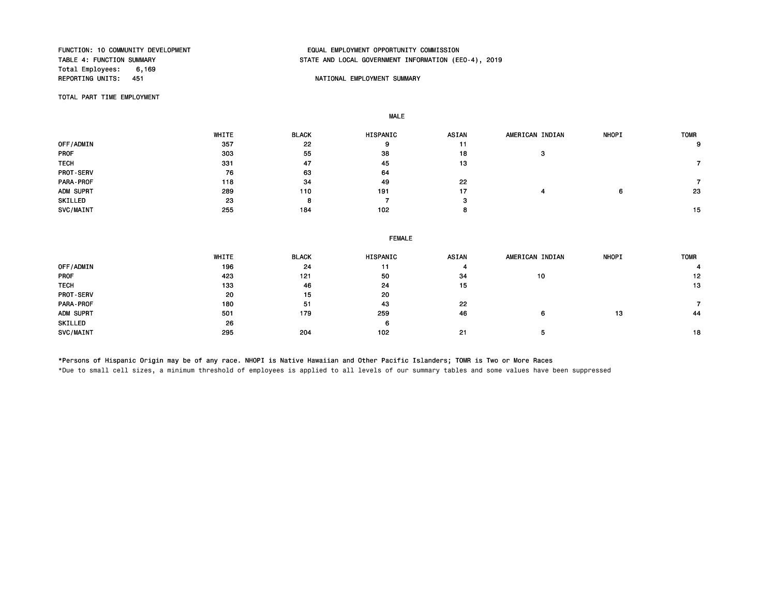Total Employees: 6,169<br>REPORTING UNITS: 451

MALE

## FUNCTION: 10 COMMUNITY DEVELOPMENT EQUAL EMPLOYMENT OPPORTUNITY COMMISSION STATE AND LOCAL GOVERNMENT INFORMATION (EEO-4), 2019

#### NATIONAL EMPLOYMENT SUMMARY

TOTAL PART TIME EMPLOYMENT

 WHITE BLACK HISPANIC ASIAN AMERICAN INDIAN NHOPI TOMR OFF/ADMIN 357 22 9 11 9 PROF 303 55 38 18 3 тесни процессиот производит в 331 март 47 март 45 март 13 литература и 13 литература и 13 литература и 13 литер PROT-SERV 64 63 64 PARA-PROF 118 34 49 22 7 ADM SUPRT 289 110 191 17 4 6 23 SKILLED 23 8 7 3 SVC/MAINT 255 184 102 8 15

|                  | <b>FEMALE</b> |              |          |       |                 |              |             |  |
|------------------|---------------|--------------|----------|-------|-----------------|--------------|-------------|--|
|                  | WHITE         | <b>BLACK</b> | HISPANIC | ASIAN | AMERICAN INDIAN | <b>NHOPI</b> | <b>TOMR</b> |  |
| OFF/ADMIN        | 196           | 24           | 11       |       |                 |              |             |  |
| PROF             | 423           | 121          | 50       | 34    | 10              |              | 12          |  |
| <b>TECH</b>      | 133           | 46           | 24       | 15    |                 |              | 13          |  |
| <b>PROT-SERV</b> | 20            | 15           | 20       |       |                 |              |             |  |
| PARA-PROF        | 180           | -51          | 43       | 22    |                 |              |             |  |
| ADM SUPRT        | 501           | 179          | 259      | 46    | 6               | 13           | 44          |  |
| SKILLED          | 26            |              | 6        |       |                 |              |             |  |
| SVC/MAINT        | 295           | 204          | 102      | 21    |                 |              | 18          |  |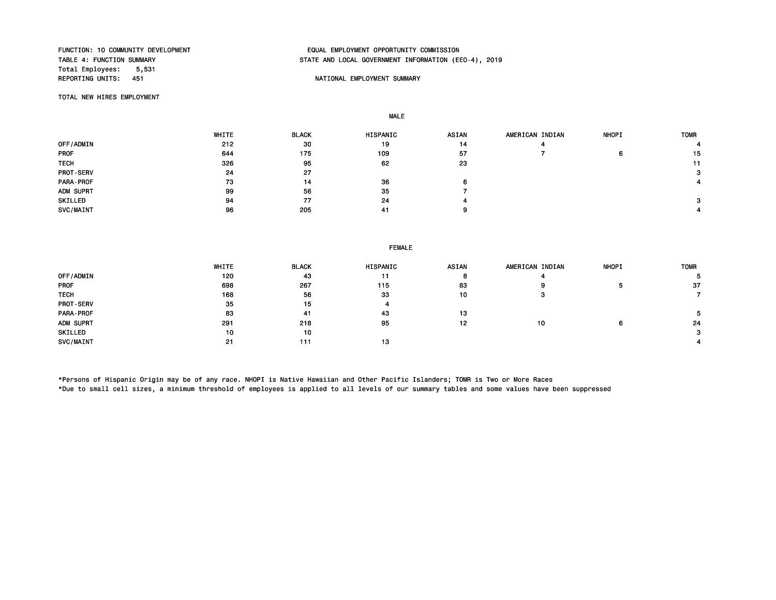Total Employees: 5,531<br>REPORTING UNITS: 451

## FUNCTION: 10 COMMUNITY DEVELOPMENT EQUAL EMPLOYMENT OPPORTUNITY COMMISSION STATE AND LOCAL GOVERNMENT INFORMATION (EEO-4), 2019

#### NATIONAL EMPLOYMENT SUMMARY

TOTAL NEW HIRES EMPLOYMENT

MALE

|                  | WHITE | <b>BLACK</b> | HISPANIC | ASIAN | AMERICAN INDIAN | <b>NHOPI</b> | <b>TOMR</b> |
|------------------|-------|--------------|----------|-------|-----------------|--------------|-------------|
| OFF/ADMIN        | 212   | 30           | 19       | 14    |                 |              |             |
| <b>PROF</b>      | 644   | 175          | 109      | 57    |                 | 6            | 15          |
| <b>TECH</b>      | 326   | 95           | 62       | 23    |                 |              | 11          |
| <b>PROT-SERV</b> | 24    | 27           |          |       |                 |              | З.          |
| PARA-PROF        | 73    | 14           | 36       | 6     |                 |              |             |
| ADM SUPRT        | 99    | 56           | 35       |       |                 |              |             |
| SKILLED          | 94    | 77           | 24       |       |                 |              | З.          |
| SVC/MAINT        | 96    | 205          | 41       |       |                 |              |             |

#### FEMALE

|                  | WHITE | <b>BLACK</b> | HISPANIC | <b>ASIAN</b> | AMERICAN INDIAN | <b>NHOPI</b> | <b>TOMR</b> |
|------------------|-------|--------------|----------|--------------|-----------------|--------------|-------------|
| OFF/ADMIN        | 120   | 43           | 11       |              |                 |              |             |
| <b>PROF</b>      | 698   | 267          | 115      | 83           | 9               |              | -37         |
| <b>TECH</b>      | 168   | 56           | 33       | 10           | з               |              |             |
| <b>PROT-SERV</b> | 35    | 15           | 4        |              |                 |              |             |
| PARA-PROF        | 83    | -41          | 43       | 13           |                 |              |             |
| ADM SUPRT        | 291   | 218          | 95       | 12           | 10              | 6            | 24          |
| SKILLED          | 10    | 10           |          |              |                 |              | З.          |
| SVC/MAINT        | 21    | 111          | 13       |              |                 |              |             |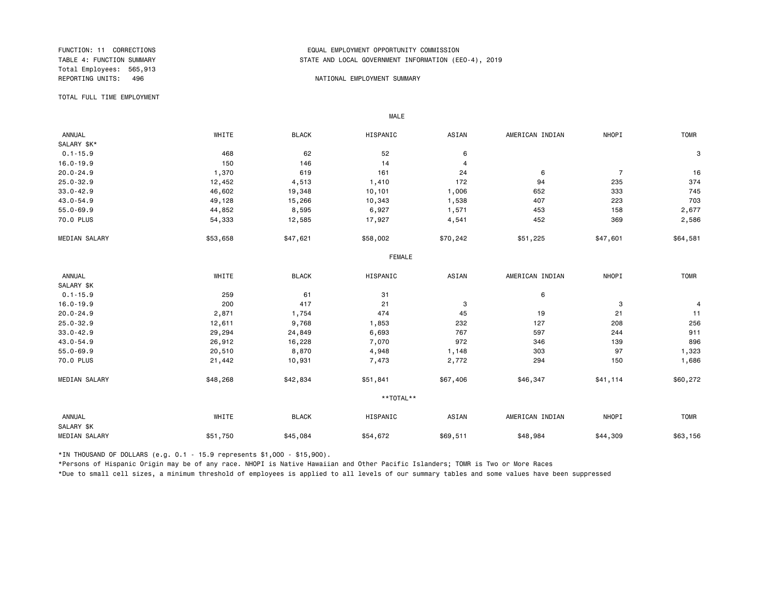Total Employees: 565,913

#### FUNCTION: 11 CORRECTIONS EQUAL EMPLOYMENT OPPORTUNITY COMMISSION STATE AND LOCAL GOVERNMENT INFORMATION (EEO-4), 2019

#### REPORTING UNITS: 496 NATIONAL EMPLOYMENT SUMMARY

TOTAL FULL TIME EMPLOYMENT

 ANNUAL WHITE BLACK HISPANIC ASIAN AMERICAN INDIAN NHOPI TOMR SALARY \$K\*<br>0.1-15.9  $0.1-15.9$  3 16.0-19.9 150 146 14 4 20.0-24.9 1,370 619 161 24 6 7 16 25.0-32.9 12,452 4,513 1,410 172 94 235 374 33.0-42.9 46,602 19,348 10,101 1,006 652 333 745 43.0-54.9 49,128 15,266 10,343 1,538 407 223 703 55.0-69.9 44,852 8,595 6,927 1,571 453 158 2,677 70.0 PLUS 54,333 12,585 17,927 4,541 452 369 2,586 MEDIAN SALARY \$53,658 \$47,621 \$58,002 \$70,242 \$51,225 \$47,601 \$64,581 FEMALE **FRAME**  ANNUAL WHITE BLACK HISPANIC ASIAN AMERICAN INDIAN NHOPI TOMR SALARY \$K<br>0.1-15.9  $0.1-15.9$  61 31 6 16.0-19.9 200 417 21 3 3 4 20.0-24.9 2,871 1,754 474 45 19 21 11 25.0-32.9 12,611 9,768 1,853 232 127 208 256 33.0-42.9 29,294 24,849 6,693 767 597 244 911 43.0-54.9 26,912 16,228 7,070 972 346 139 896 55.0-69.9 20,510 8,870 4,948 1,148 303 97 1,323 70.0 PLUS 21,442 10,931 7,473 2,772 294 150 1,686 MEDIAN SALARY \$48,268 \$42,834 \$51,841 \$60,347 \$41,114 \$60,272 \*\*TOTAL\*\* ANNUAL WHITE BLACK HISPANIC ASIAN AMERICAN INDIAN NHOPI TOMR SALARY \$K MEDIAN SALARY \$51,750 \$45,084 \$54,672 \$69,511 \$48,984 \$44,309 \$63,156

\*IN THOUSAND OF DOLLARS (e.g. 0.1 - 15.9 represents \$1,000 - \$15,900).

MALE

\*Persons of Hispanic Origin may be of any race. NHOPI is Native Hawaiian and Other Pacific Islanders; TOMR is Two or More Races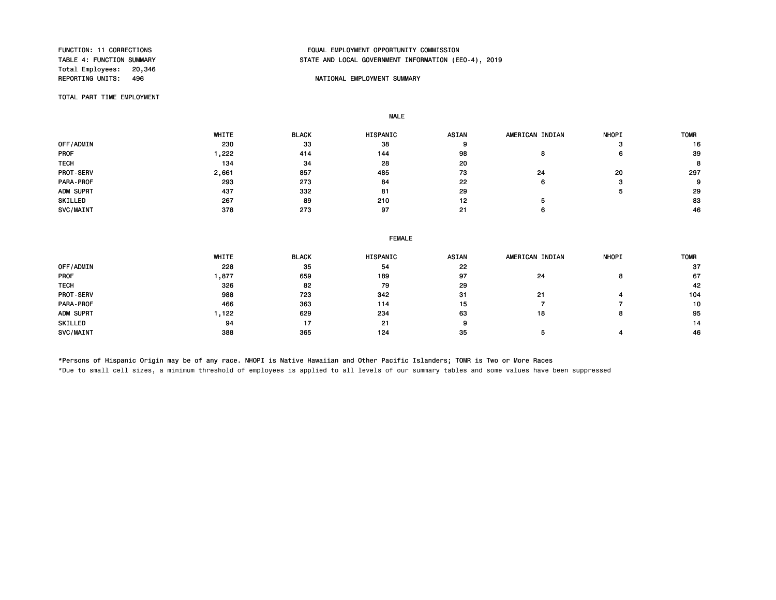Total Employees: 20,346<br>REPORTING UNITS: 496

#### FUNCTION: 11 CORRECTIONS EQUAL EMPLOYMENT OPPORTUNITY COMMISSION STATE AND LOCAL GOVERNMENT INFORMATION (EEO-4), 2019

#### NATIONAL EMPLOYMENT SUMMARY

TOTAL PART TIME EMPLOYMENT

MALE

|             | WHITE | <b>BLACK</b> | <b>HISPANIC</b> | <b>ASIAN</b> | AMERICAN INDIAN | <b>NHOPI</b> | <b>TOMR</b> |
|-------------|-------|--------------|-----------------|--------------|-----------------|--------------|-------------|
| OFF/ADMIN   | 230   | 33           | 38              |              |                 |              | 16          |
| <b>PROF</b> | ,222  | 414          | 144             | 98           |                 | 6            | 39          |
| <b>TECH</b> | 134   | -34          | 28              | 20           |                 |              | 8           |
| PROT-SERV   | 2,661 | 857          | 485             | 73           | 24              | 20           | 297         |
| PARA-PROF   | 293   | 273          | 84              | 22           | ь               |              | 9           |
| ADM SUPRT   | 437   | 332          | 81              | 29           |                 |              | 29          |
| SKILLED     | 267   | 89           | 210             | 12           |                 |              | 83          |
| SVC/MAINT   | 378   | 273          | 97              | 21           |                 |              | 46          |

|                  | <b>FEMALE</b> |              |          |       |                 |              |             |  |
|------------------|---------------|--------------|----------|-------|-----------------|--------------|-------------|--|
|                  | WHITE         | <b>BLACK</b> | HISPANIC | ASIAN | AMERICAN INDIAN | <b>NHOPI</b> | <b>TOMR</b> |  |
| <b>OFF/ADMIN</b> | 228           | 35           | 54       | 22    |                 |              | -37         |  |
| PROF             | 1,877         | 659          | 189      | 97    | 24              | o            | 67          |  |
| TECH             | 326           | 82           | 79       | 29    |                 |              | 42          |  |
| <b>PROT-SERV</b> | 988           | 723          | 342      | 31    | 21              |              | 104         |  |
| PARA - PROF      | 466           | 363          | 114      | 15    |                 |              | 10          |  |
| ADM SUPRT        | 1,122         | 629          | 234      | 63    | 18              |              | 95          |  |
| SKILLED          | 94            | 17           | 21       | 9     |                 |              | 14          |  |
| <b>SVC/MAINT</b> | 388           | 365          | 124      | 35    |                 |              | 46          |  |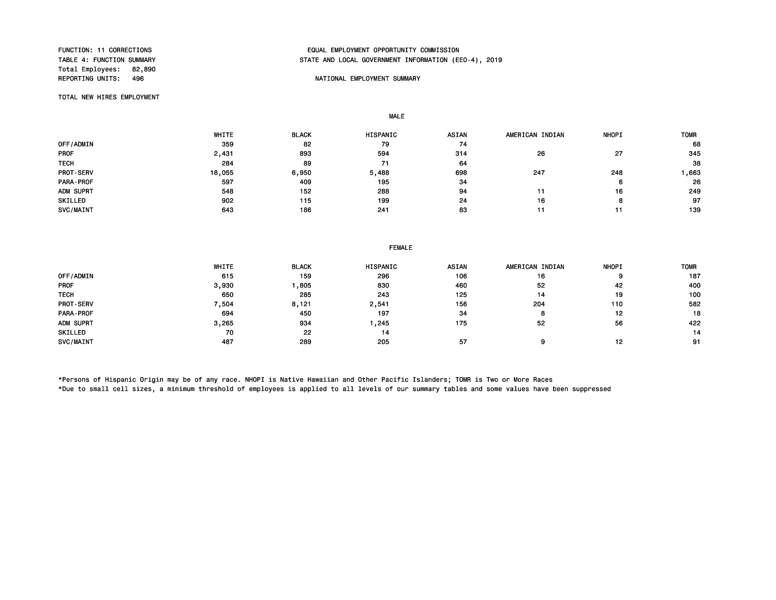Total Employees: 82,890<br>REPORTING UNITS: 496

#### FUNCTION: 11 CORRECTIONS EQUAL EMPLOYMENT OPPORTUNITY COMMISSION STATE AND LOCAL GOVERNMENT INFORMATION (EEO-4), 2019

#### NATIONAL EMPLOYMENT SUMMARY

TOTAL NEW HIRES EMPLOYMENT

MALE

|                  | WHITE  | <b>BLACK</b> | <b>HISPANIC</b> | <b>ASIAN</b> | AMERICAN INDIAN | <b>NHOPI</b> | <b>TOMR</b> |
|------------------|--------|--------------|-----------------|--------------|-----------------|--------------|-------------|
| OFF/ADMIN        | 359    | 82           | 79              | 74           |                 |              | 68          |
| <b>PROF</b>      | 2,431  | 893          | 594             | 314          | 26              | 27           | 345         |
| <b>TECH</b>      | 284    | 89           | 71              | 64           |                 |              | 38          |
| PROT-SERV        | 18,055 | 6.950        | 5,488           | 698          | 247             | 248          | 663, ا      |
| <b>PARA-PROF</b> | 597    | 409          | 195             | 34           |                 | 6            | 26          |
| ADM SUPRT        | 548    | 152          | 288             | 94           |                 | 16           | 249         |
| SKILLED          | 902    | 115          | 199             | 24           | 16              | o            | 97          |
| SVC/MAINT        | 643    | 186          | 241             | 83           |                 |              | 139         |

|             | WHITE | <b>BLACK</b> | <b>HISPANIC</b> | <b>ASIAN</b> | AMERICAN INDIAN | <b>NHOPI</b> | <b>TOMR</b> |
|-------------|-------|--------------|-----------------|--------------|-----------------|--------------|-------------|
| OFF/ADMIN   | 615   | 159          | 296             | 106          | 16              | g            | 187         |
| <b>PROF</b> | 3,930 | ,805         | 830             | 460          | 52              | -42          | 400         |
| <b>TECH</b> | 650   | 285          | 243             | 125          | 14              | 19           | 100         |
| PROT-SERV   | 7,504 | 8,121        | 2,541           | 156          | 204             | 110          | 582         |
| PARA-PROF   | 694   | 450          | 197             | 34           |                 | 12           | 18          |
| ADM SUPRT   | 3,265 | 934          | ,245            | 175          | 52              | 56           | 422         |
| SKILLED     | 70    | 22           | 14              |              |                 |              | 14          |
| SVC/MAINT   | 487   | 289          | 205             | 57           |                 | 12           | 91          |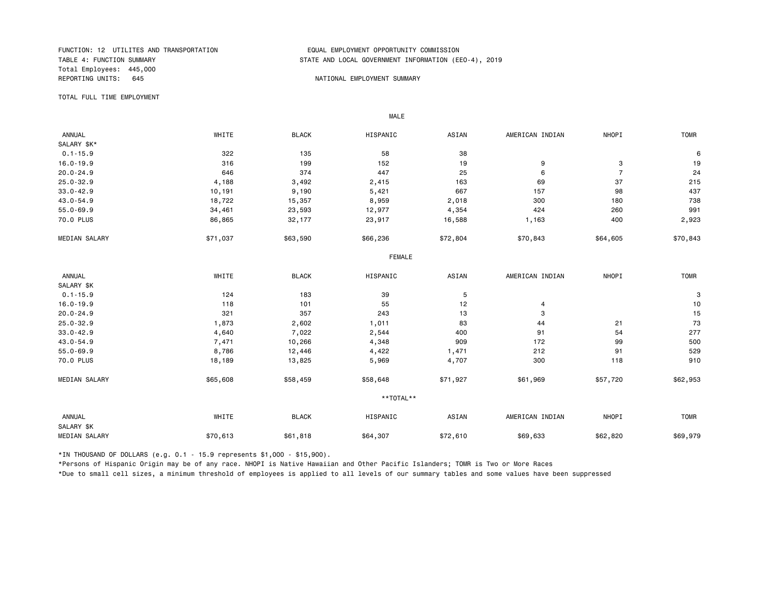FUNCTION: 12 UTILITES AND TRANSPORTATION<br>TABLE 4: FUNCTION SUMMARY TABLE AND LOCAL GOVERNMENT INFORMATION (EDUAL TABLE 4: FUNCTION SUMMARY Total Employees: 445,000 REPORTING UNITS: 645 AND REPORTING UNITS: 645

MALE

## STATE AND LOCAL GOVERNMENT INFORMATION (EEO-4), 2019

TOTAL FULL TIME EMPLOYMENT

 ANNUAL WHITE BLACK HISPANIC ASIAN AMERICAN INDIAN NHOPI TOMR SALARY \$K\*<br>0.1-15.9  $0.1$ -15.9 30  $0.1$ -15.9 58  $0.1$ -15.9  $0.1$ -15.9  $0.1$ -15.9  $0.1$ -15.9  $0.1$ 16.0-19.9 316 199 152 19 9 3 19 20.0-24.9 646 374 447 25 6 7 24 25.0-32.9 4,188 3,492 2,415 163 69 37 215 33.0-42.9 10,191 9,190 5,421 667 157 98 437 43.0-54.9 18,722 15,357 8,959 2,018 300 180 738 55.0-69.9 34,461 23,593 12,977 4,354 424 260 991 70.0 PLUS 86,865 32,177 23,917 16,588 1,163 400 2,923 MEDIAN SALARY \$71,037 \$63,590 \$66,236 \$72,804 \$70,843 \$64,605 \$70,843 FEMALE **FRAME**  ANNUAL WHITE BLACK HISPANIC ASIAN AMERICAN INDIAN NHOPI TOMR SALARY \$K<br>0.1-15.9  $0.1$ -15.9 3 16.0-19.9 118 101 55 12 4 10 20.0-24.9 321 357 243 13 3 15 25.0-32.9 1,873 2,602 1,011 83 44 21 73 33.0-42.9 4,640 7,022 2,544 400 91 54 277 43.0-54.9 7,471 10,266 4,348 909 172 99 500 55.0-69.9 8,786 12,446 4,422 1,471 212 91 529 70.0 PLUS 18,189 13,825 5,969 4,707 300 118 910 MEDIAN SALARY \$55,608 \$58,459 \$58,648 \$71,927 \$61,969 \$57,720 \$62,953 \*\*TOTAL\*\* ANNUAL WHITE BLACK HISPANIC ASIAN AMERICAN INDIAN NHOPI TOMR SALARY \$K MEDIAN SALARY \$70,613 \$61,818 \$64,307 \$72,610 \$69,633 \$62,820 \$69,979 \$69,979

\*IN THOUSAND OF DOLLARS (e.g. 0.1 - 15.9 represents \$1,000 - \$15,900).

\*Persons of Hispanic Origin may be of any race. NHOPI is Native Hawaiian and Other Pacific Islanders; TOMR is Two or More Races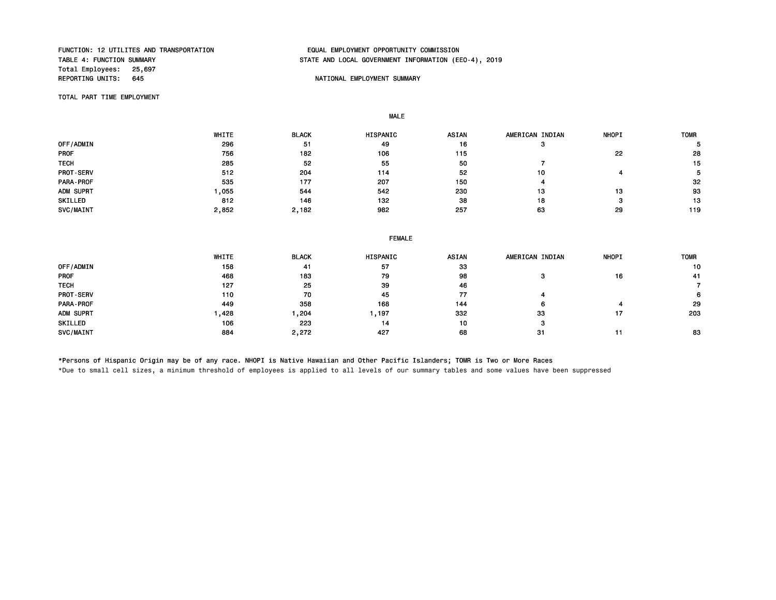# Total Employees: 25,697<br>REPORTING UNITS: 645

## FUNCTION: 12 UTILITES AND TRANSPORTATION EQUAL EMPLOYMENT OPPORTUNITY COMMISSION STATE AND LOCAL GOVERNMENT INFORMATION (EEO-4), 2019

#### NATIONAL EMPLOYMENT SUMMARY

TOTAL PART TIME EMPLOYMENT

MALE

|                  | WHITE | <b>BLACK</b> | <b>HISPANIC</b> | <b>ASIAN</b> | AMERICAN INDIAN | <b>NHOPI</b> | <b>TOMR</b> |
|------------------|-------|--------------|-----------------|--------------|-----------------|--------------|-------------|
| OFF/ADMIN        | 296   | 51           | 49              | 16           |                 |              |             |
| <b>PROF</b>      | 756   | 182          | 106             | 115          |                 | 22           | 28          |
| <b>TECH</b>      | 285   | 52           | 55              | 50           |                 |              | 15          |
| <b>PROT-SERV</b> | 512   | 204          | 114             | 52           | 10              |              |             |
| <b>PARA-PROF</b> | 535   | 177          | 207             | 150          |                 |              | 32          |
| ADM SUPRT        | ,055  | 544          | 542             | 230          | 13              | 13           | 93          |
| SKILLED          | 812   | 146          | 132             | 38           | 18              | っ            | 13          |
| <b>SVC/MAINT</b> | 2,852 | 2,182        | 982             | 257          | 63              | 29           | 119         |

|                  | <b>FEMALE</b> |              |          |       |                 |              |             |  |
|------------------|---------------|--------------|----------|-------|-----------------|--------------|-------------|--|
|                  | WHITE         | <b>BLACK</b> | HISPANIC | ASIAN | AMERICAN INDIAN | <b>NHOPI</b> | <b>TOMR</b> |  |
| OFF/ADMIN        | 158           | 41           | 57       | 33    |                 |              | 10          |  |
| <b>PROF</b>      | 468           | 183          | 79       | 98    |                 | 16           | -41         |  |
| <b>TECH</b>      | 127           | 25           | 39       | 46    |                 |              |             |  |
| <b>PROT-SERV</b> | 110           | 70           | 45       | 77    |                 |              |             |  |
| PARA-PROF        | 449           | 358          | 168      | 144   |                 |              | 29          |  |
| ADM SUPRT        | 428.          | 204, ا       | 1,197    | 332   | 33              | 17           | 203         |  |
| SKILLED          | 106           | 223          | 14       | 10    | з               |              |             |  |
| SVC/MAINT        | 884           | 2,272        | 427      | 68    | 31              | 11           | 83          |  |

\*Persons of Hispanic Origin may be of any race. NHOPI is Native Hawaiian and Other Pacific Islanders; TOMR is Two or More Races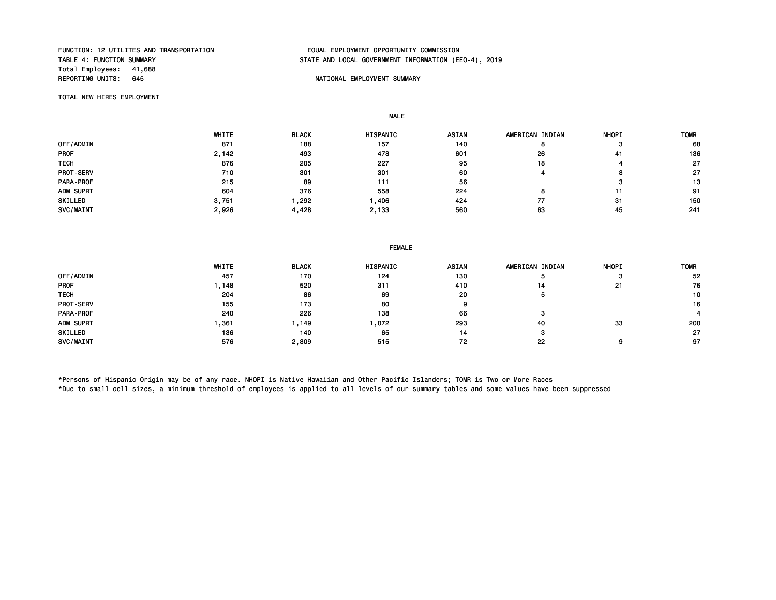# Total Employees: 41,688<br>REPORTING UNITS: 645

#### FUNCTION: 12 UTILITES AND TRANSPORTATION EQUAL EMPLOYMENT OPPORTUNITY COMMISSION STATE AND LOCAL GOVERNMENT INFORMATION (EEO-4), 2019

#### NATIONAL EMPLOYMENT SUMMARY

TOTAL NEW HIRES EMPLOYMENT

MALE

|                  | WHITE | <b>BLACK</b> | HISPANIC | <b>ASIAN</b> | AMERICAN INDIAN | <b>NHOPI</b> | <b>TOMR</b> |
|------------------|-------|--------------|----------|--------------|-----------------|--------------|-------------|
| OFF/ADMIN        | 871   | 188          | 157      | 140          |                 |              | 68          |
| <b>PROF</b>      | 2,142 | 493          | 478      | 601          | 26              | 41           | 136         |
| <b>TECH</b>      | 876   | 205          | 227      | 95           | 18              |              | 27          |
| <b>PROT-SERV</b> | 710   | 301          | 301      | 60           |                 | o            | 27          |
| <b>PARA-PROF</b> | 215   | 89           | 111      | 56           |                 |              | 13          |
| ADM SUPRT        | 604   | 376          | 558      | 224          |                 |              | 91          |
| SKILLED          | 3,751 | ,292         | ,406     | 424          | 77              | 31           | 150         |
| SVC/MAINT        | 2,926 | 4,428        | 2,133    | 560          | 63              | 45           | 241         |

|  | <b>FEMALE</b> |
|--|---------------|
|  |               |

|             | WHITE | <b>BLACK</b> | HISPANIC | ASIAN | AMERICAN INDIAN | <b>NHOPI</b> | <b>TOMR</b> |
|-------------|-------|--------------|----------|-------|-----------------|--------------|-------------|
| OFF/ADMIN   | 457   | 170          | 124      | 130   |                 | - 37         | 52          |
| <b>PROF</b> | , 148 | 520          | 311      | 410   | 14              | 21           | 76          |
| <b>TECH</b> | 204   | 86           | 69       | 20    | Ð               |              | 10          |
| PROT-SERV   | 155   | 173          | 80       |       |                 |              | 16          |
| PARA-PROF   | 240   | 226          | 138      | 66    |                 |              |             |
| ADM SUPRT   | ,361  | 149. ا       | ,072     | 293   | 40              | 33           | 200         |
| SKILLED     | 136   | 140          | 65       | 14    | з               |              | 27          |
| SVC/MAINT   | 576   | 2,809        | 515      | 72    | 22              | Ω            | 97          |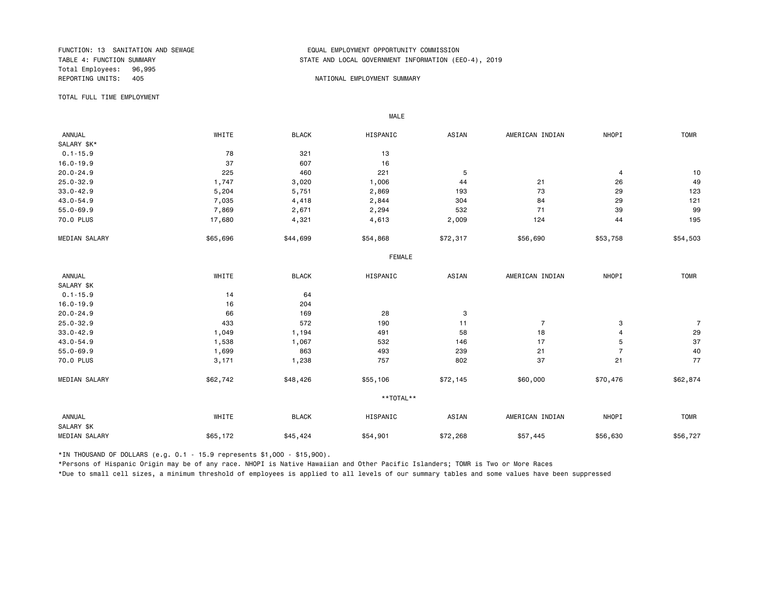Total Employees: 96,995 REPORTING UNITS: 405 And the state of the state of the state of the state of the state of the state of the state of the state of the state of the state of the state of the state of the state of the state of the state of th

#### FUNCTION: 13 SANITATION AND SEWAGE FUNCTION: 13 SANITATION AND SEWAGE FORE SERVICE SOME STATE AND LOCAL GOVERNMENT INFORMATION (ERREDUCT) STATE AND LOCAL GOVERNMENT INFORMATION (EEO-4), 2019

TOTAL FULL TIME EMPLOYMENT

 ANNUAL WHITE BLACK HISPANIC ASIAN AMERICAN INDIAN NHOPI TOMR SALARY \$K\*<br>0.1-15.9  $0.1-15.9$  13 16.0-19.9 16.0-19.9 16.0-19.9 16.0-19.9 16.0-19.9 16.0-20.0 16.0-20.0 16.0-20.0 16 20.0-24.9 225 460 221 5 4 10 25.0-32.9 1,747 3,020 1,006 44 21 26 49 33.0-42.9 5,204 5,751 2,869 193 73 29 123 43.0-54.9 7,035 4,418 2,844 304 84 29 121 55.0-69.9 7,869 2,671 2,294 532 71 39 99 70.0 PLUS 17,680 4,321 4,613 2,009 124 195 MEDIAN SALARY \$55,696 \$44,699 \$54,868 \$56,090 \$55,690 \$53,758 \$54,503 FEMALE **FRAME**  ANNUAL WHITE BLACK HISPANIC ASIAN AMERICAN INDIAN NHOPI TOMR SALARY \$K<br>0.1-15.9  $0.1-15.9$  14 64 16.0-19.9 16 204 20.0-24.9 66 169 28 3 25.0-32.9 433 572 190 11 7 3 7 33.0-42.9 1,049 1,194 491 58 18 4 29 43.0-54.9 1,538 1,067 532 146 17 5 37 55.0-69.9 1,699 863 493 239 21 7 40 70.0 PLUS 3,171 1,238 757 802 37 21 77 MEDIAN SALARY \$62,742 \$48,426 \$55,106 \$72,145 \$60,000 \$570,476 \$62,874 \*\*TOTAL\*\* ANNUAL WHITE BLACK HISPANIC ASIAN AMERICAN INDIAN NHOPI TOMR SALARY \$K MEDIAN SALARY \$65,172 \$45,424 \$54,901 \$57,268 \$57,445 \$56,630 \$56,530 \$56,727

\*IN THOUSAND OF DOLLARS (e.g. 0.1 - 15.9 represents \$1,000 - \$15,900).

MALE

\*Persons of Hispanic Origin may be of any race. NHOPI is Native Hawaiian and Other Pacific Islanders; TOMR is Two or More Races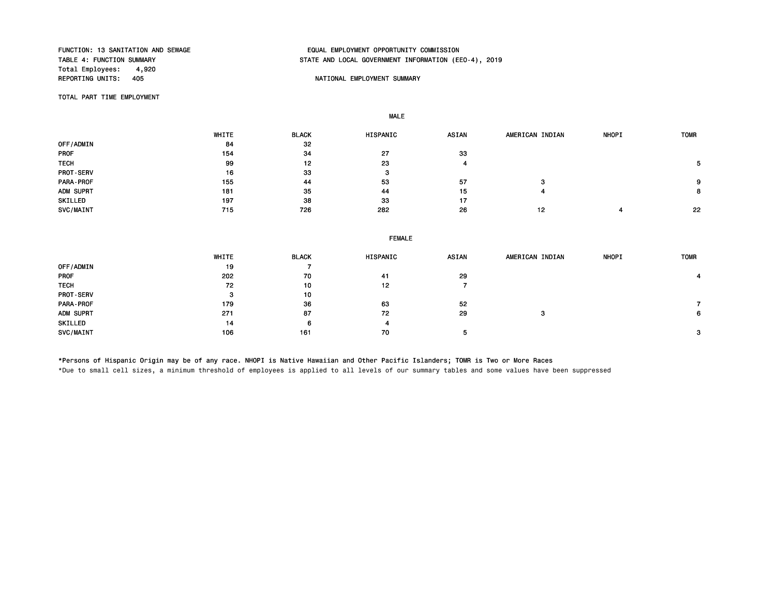Total Employees: 4,920<br>REPORTING UNITS: 405

MALE

## FUNCTION: 13 SANITATION AND SEWAGE THE SERIES OF SANTHOLOGIC EMPLOYMENT OPPORTUNITY COMMISSION<br>TABLE 4: FUNCTION SUMMARY STATE AND LOCAL GOVERNMENT INFORMATION (EEO-4), 2019

#### NATIONAL EMPLOYMENT SUMMARY

TOTAL PART TIME EMPLOYMENT

 WHITE BLACK HISPANIC ASIAN AMERICAN INDIAN NHOPI TOMR OFF/ADMIN 84 32<br>PROF 154 34 PROF 27 33 TECH 99 12 23 4 5 PROT-SERV 16 33 3 PARA-PROF 155 44 53 57 3 9 ADM SUPRT 181 35 44 15 4 8 SKILLED 197 38 33 17 SVC/MAINT 715 726 282 26 12 4 22

|                  | <b>FEMALE</b> |              |          |              |                 |              |             |  |
|------------------|---------------|--------------|----------|--------------|-----------------|--------------|-------------|--|
|                  | WHITE         | <b>BLACK</b> | HISPANIC | <b>ASIAN</b> | AMERICAN INDIAN | <b>NHOPI</b> | <b>TOMR</b> |  |
| OFF/ADMIN        | 19            |              |          |              |                 |              |             |  |
| <b>PROF</b>      | 202           | 70           | 41       | 29           |                 |              |             |  |
| <b>TECH</b>      | 72            | 10           | 12       |              |                 |              |             |  |
| <b>PROT-SERV</b> | з             | 10           |          |              |                 |              |             |  |
| PARA-PROF        | 179           | 36           | 63       | 52           |                 |              |             |  |
| ADM SUPRT        | 271           | 87           | 72       | 29           | з               |              | 6           |  |
| SKILLED          | 14            | 6            | 4        |              |                 |              |             |  |
| SVC/MAINT        | 106           | 161          | 70       | 5            |                 |              | з           |  |

\*Persons of Hispanic Origin may be of any race. NHOPI is Native Hawaiian and Other Pacific Islanders; TOMR is Two or More Races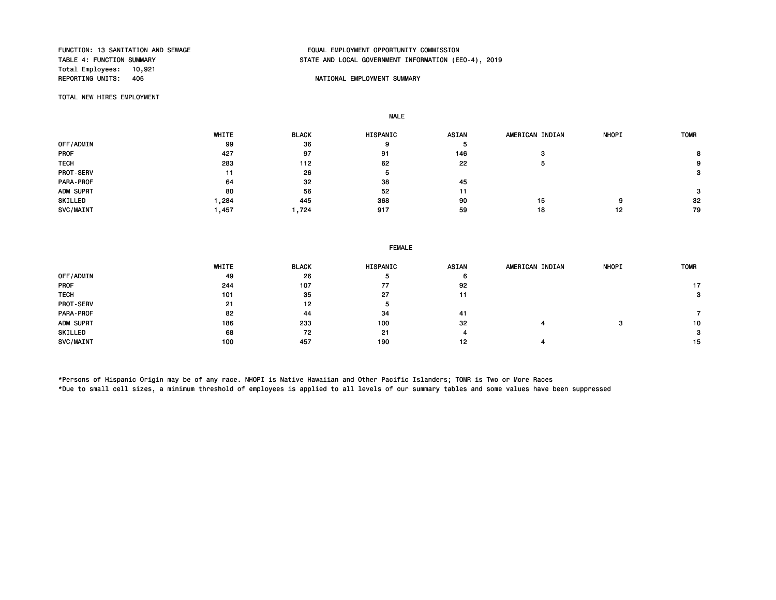Total Employees: 10,921

## FUNCTION: 13 SANITATION AND SEWAGE THE SERIES OF SANTHOLOGIC EMPLOYMENT OPPORTUNITY COMMISSION<br>TABLE 4: FUNCTION SUMMARY STATE AND LOCAL GOVERNMENT INFORMATION (EEO-4), 2019

#### NATIONAL EMPLOYMENT SUMMARY

TOTAL NEW HIRES EMPLOYMENT

MALE

|                  | WHITE | <b>BLACK</b> | HISPANIC | ASIAN | AMERICAN INDIAN | <b>NHOPI</b> | <b>TOMR</b> |
|------------------|-------|--------------|----------|-------|-----------------|--------------|-------------|
| OFF/ADMIN        | 99    | 36           | 9        |       |                 |              |             |
| <b>PROF</b>      | 427   | 97           | 91       | 146   | з               |              |             |
| <b>TECH</b>      | 283   | 112          | 62       | 22    |                 |              | 9           |
| <b>PROT-SERV</b> | 11    | 26           | 5        |       |                 |              | 3           |
| PARA-PROF        | 64    | 32           | 38       | 45    |                 |              |             |
| ADM SUPRT        | 80    | 56           | 52       | 11    |                 |              | з           |
| SKILLED          | ,284  | 445          | 368      | 90    | 15              | 9            | 32          |
| SVC/MAINT        | Ⅰ.457 | 1.724        | 917      | 59    | 18              | 12           | 79          |

| WHITE | <b>BLACK</b> | HISPANIC | ASIAN | AMERICAN INDIAN | <b>NHOPI</b> | <b>TOMR</b> |
|-------|--------------|----------|-------|-----------------|--------------|-------------|
| 49    | 26           |          | 6     |                 |              |             |
| 244   | 107          | 77       | 92    |                 |              | 17          |
| 101   | 35           | 27       | 11    |                 |              | з           |
| 21    | 12           | ь        |       |                 |              |             |
| 82    | 44           | 34       | 41    |                 |              |             |
| 186   | 233          | 100      | 32    |                 |              | 10          |
| 68    | 72           | 21       |       |                 |              | 3           |
| 100   | 457          | 190      | 12    |                 |              | 15          |
|       |              |          |       |                 |              |             |

\*Persons of Hispanic Origin may be of any race. NHOPI is Native Hawaiian and Other Pacific Islanders; TOMR is Two or More Races \*Due to small cell sizes, a minimum threshold of employees is applied to all levels of our summary tables and some values have been suppressed

FEMALE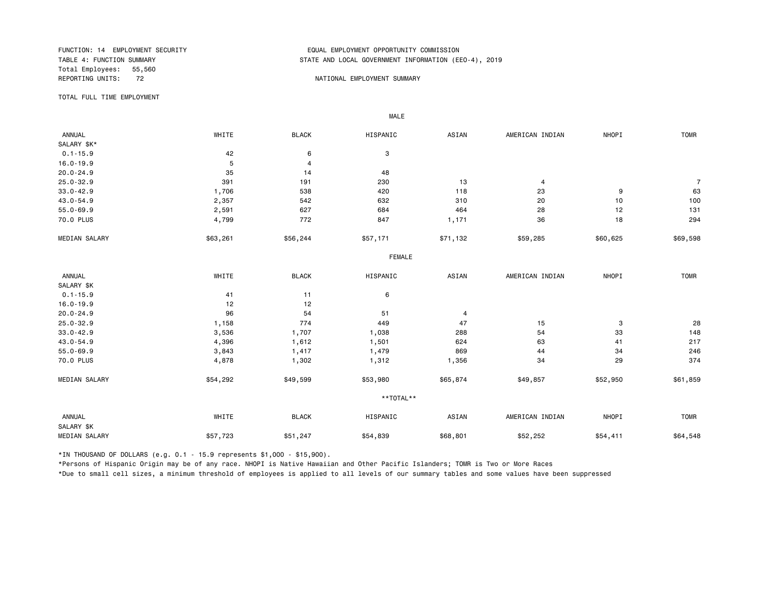Total Employees: 55,560<br>REPORTING UNITS: 72

#### FUNCTION: 14 EMPLOYMENT SECURITY<br>TABLE 4: FUNCTION SUMMARY EQUAL EMPLOYMENT OPPORTUNITY COMMISSION STATE AND LOCAL GOVERNMENT INFORMATION (EEO-4), 2019

#### 72 **REPORTING UNITS: REPORTIONAL EMPLOYMENT SUMMARY**

TOTAL FULL TIME EMPLOYMENT

 ANNUAL WHITE BLACK HISPANIC ASIAN AMERICAN INDIAN NHOPI TOMR SALARY \$K\*<br>0.1-15.9  $0.1 - 15.9$  3 16.0-19.9 5 4 20.0-24.9 35 14 48 25.0-32.9 391 191 230 13 4 7 33.0-42.9 1,706 538 420 118 23 9 63 43.0-54.9 2,357 542 632 310 20 10 100 55.0-69.9 2,591 627 684 464 28 12 131 70.0 PLUS 4,799 772 847 1,171 36 18 294 MEDIAN SALARY \$63,261 \$56,244 \$57,171 \$71,132 \$59,285 \$60,625 \$69,598 FEMALE **FRAME**  ANNUAL WHITE BLACK HISPANIC ASIAN AMERICAN INDIAN NHOPI TOMR SALARY \$K<br>0.1-15.9  $0.1-15.9$  6 16.0-19.9 12 12 20.0-24.9 96 54 51 4 25.0-32.9 1,158 774 449 47 15 3 28 33.0-42.9 3,536 1,707 1,038 288 54 33 148 43.0-54.9 4,396 1,612 1,501 624 63 41 217 55.0-69.9 3,843 1,417 1,479 869 44 34 246 70.0 PLUS 4,878 1,302 1,312 1,356 34 29 374 MEDIAN SALARY \$54,292 \$49,599 \$53,980 \$65,874 \$49,857 \$52,950 \$61,859 \$61,859 \*\*TOTAL\*\* ANNUAL WHITE BLACK HISPANIC ASIAN AMERICAN INDIAN NHOPI TOMR SALARY \$K MEDIAN SALARY \$57,723 \$51,247 \$54,839 \$52,252 \$54,411 \$64,548

\*IN THOUSAND OF DOLLARS (e.g. 0.1 - 15.9 represents \$1,000 - \$15,900).

MALE

\*Persons of Hispanic Origin may be of any race. NHOPI is Native Hawaiian and Other Pacific Islanders; TOMR is Two or More Races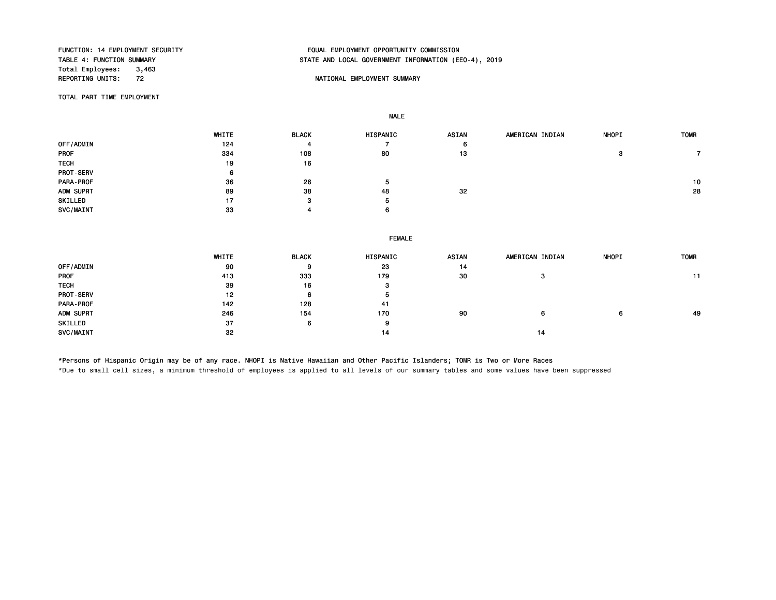Total Employees: 3,463<br>REPORTING UNITS: 72

MALE

## FUNCTION: 14 EMPLOYMENT SECURITY EQUAL EMPLOYMENT OPPORTUNITY COMMISSION STATE AND LOCAL GOVERNMENT INFORMATION (EEO-4), 2019

#### NATIONAL EMPLOYMENT SUMMARY

TOTAL PART TIME EMPLOYMENT

|                  | WHITE | <b>BLACK</b> | HISPANIC | <b>ASIAN</b> | AMERICAN INDIAN | <b>NHOPI</b> | <b>TOMR</b> |
|------------------|-------|--------------|----------|--------------|-----------------|--------------|-------------|
| OFF/ADMIN        | 124   |              |          | 6            |                 |              |             |
| <b>PROF</b>      | 334   | 108          | 80       | 13           |                 | 3            |             |
| <b>TECH</b>      | 19    | 16           |          |              |                 |              |             |
| <b>PROT-SERV</b> | 6     |              |          |              |                 |              |             |
| PARA-PROF        | 36    | 26           |          |              |                 |              | 10          |
| ADM SUPRT        | 89    | 38           | 48       | 32           |                 |              | 28          |
| SKILLED          | 17    | 3            | 5        |              |                 |              |             |
| <b>SVC/MAINT</b> | 33    |              | 6        |              |                 |              |             |
|                  |       |              |          |              |                 |              |             |

|                  | <b>FEMALE</b> |              |          |       |                 |              |             |  |
|------------------|---------------|--------------|----------|-------|-----------------|--------------|-------------|--|
|                  | WHITE         | <b>BLACK</b> | HISPANIC | ASIAN | AMERICAN INDIAN | <b>NHOPI</b> | <b>TOMR</b> |  |
| OFF/ADMIN        | 90            | 9            | 23       | 14    |                 |              |             |  |
| PROF             | 413           | 333          | 179      | 30    | з               |              |             |  |
| TECH             | 39            | 16           | 3        |       |                 |              |             |  |
| <b>PROT-SERV</b> | 12            | 6            | 5        |       |                 |              |             |  |
| PARA-PROF        | 142           | 128          | 41       |       |                 |              |             |  |
| ADM SUPRT        | 246           | 154          | 170      | 90    | 6               | 6            | 49          |  |
| SKILLED          | 37            | 6            | 9        |       |                 |              |             |  |
| SVC/MAINT        | 32            |              | 14       |       | 14              |              |             |  |

\*Persons of Hispanic Origin may be of any race. NHOPI is Native Hawaiian and Other Pacific Islanders; TOMR is Two or More Races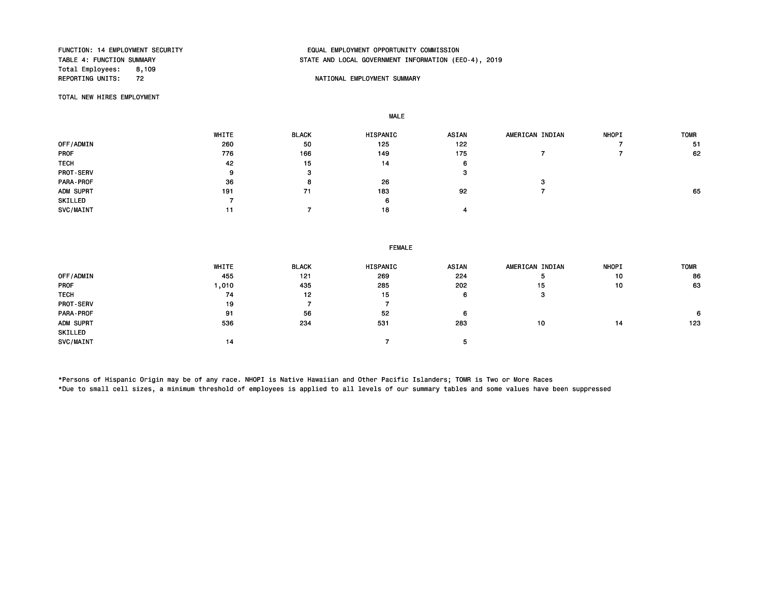Total Employees: 8,109<br>REPORTING UNITS: 72

## FUNCTION: 14 EMPLOYMENT SECURITY EQUAL EMPLOYMENT OPPORTUNITY COMMISSION STATE AND LOCAL GOVERNMENT INFORMATION (EEO-4), 2019

#### NATIONAL EMPLOYMENT SUMMARY

TOTAL NEW HIRES EMPLOYMENT

MALE

|                  | <b>WHITE</b> | <b>BLACK</b> | <b>HISPANIC</b> | <b>ASIAN</b> | AMERICAN INDIAN | <b>NHOPI</b> | <b>TOMR</b> |
|------------------|--------------|--------------|-----------------|--------------|-----------------|--------------|-------------|
| OFF/ADMIN        | 260          | 50           | 125             | 122          |                 |              | -51         |
| <b>PROF</b>      | 776          | 166          | 149             | 175          |                 |              | 62          |
| <b>TECH</b>      | 42           | 15           | 14              | O            |                 |              |             |
| <b>PROT-SERV</b> | о            | з            |                 |              |                 |              |             |
| PARA-PROF        | 36           |              | 26              |              |                 |              |             |
| ADM SUPRT        | 191          | 71           | 183             | 92           |                 |              | 65          |
| SKILLED          |              |              | 6               |              |                 |              |             |
| SVC/MAINT        |              |              | 18              |              |                 |              |             |

|                  | <b>FEMALE</b> |              |          |              |                 |              |             |  |
|------------------|---------------|--------------|----------|--------------|-----------------|--------------|-------------|--|
|                  | WHITE         | <b>BLACK</b> | HISPANIC | <b>ASIAN</b> | AMERICAN INDIAN | <b>NHOPI</b> | <b>TOMR</b> |  |
| OFF/ADMIN        | 455           | 121          | 269      | 224          |                 | 10           | 86          |  |
| <b>PROF</b>      | 1,010         | 435          | 285      | 202          | 15              | 10           | 63          |  |
| <b>TECH</b>      | 74            | 12           | 15       | 6            | з               |              |             |  |
| <b>PROT-SERV</b> | 19            |              |          |              |                 |              |             |  |
| PARA-PROF        | 91            | 56           | 52       | 6            |                 |              | 6           |  |
| ADM SUPRT        | 536           | 234          | 531      | 283          | 10              | 14           | 123         |  |
| SKILLED          |               |              |          |              |                 |              |             |  |
| SVC/MAINT        | 14            |              |          |              |                 |              |             |  |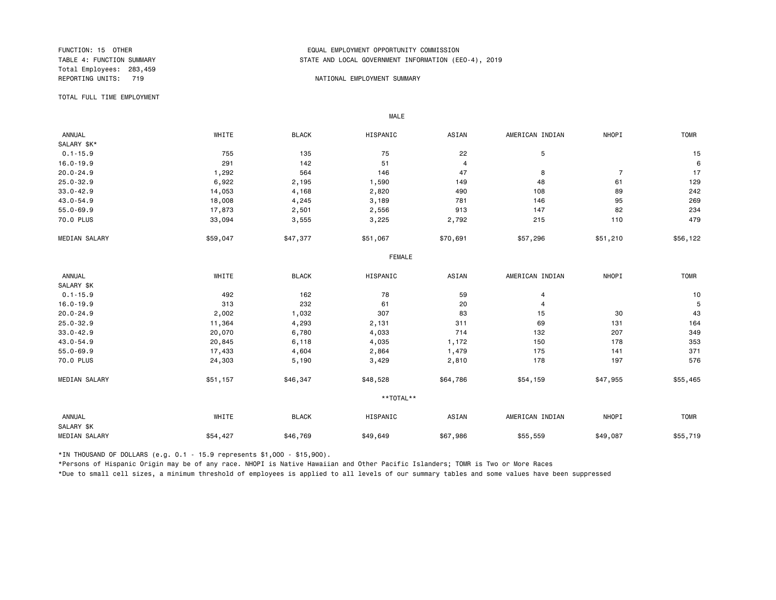Total Employees: 283,459

#### FUNCTION: 15 OTHER EQUAL EMPLOYMENT OPPORTUNITY COMMISSION STATE AND LOCAL GOVERNMENT INFORMATION (EEO-4), 2019

#### REPORTING UNITS: 719 NATIONAL EMPLOYMENT SUMMARY

TOTAL FULL TIME EMPLOYMENT

 ANNUAL WHITE BLACK HISPANIC ASIAN AMERICAN INDIAN NHOPI TOMR SALARY \$K\*<br>0.1-15.9 0.1-15.9 755 135 75 22 5 15 16.0-19.9 291 142 51 4 6 20.0-24.9 1,292 564 146 47 8 7 17 25.0-32.9 6,922 2,195 1,590 149 48 61 129 33.0-42.9 14,053 4,168 2,820 490 108 89 242 43.0-54.9 18,008 4,245 3,189 781 146 95 269 55.0-69.9 17,873 2,501 2,556 913 147 82 234 70.0 PLUS 33,094 3,555 3,225 2,792 215 110 479 MEDIAN SALARY \$59,047 \$47,377 \$51,067 \$70,691 \$57,296 \$51,210 \$56,122 FEMALE **FRAME**  ANNUAL WHITE BLACK HISPANIC ASIAN AMERICAN INDIAN NHOPI TOMR SALARY \$K<br>0.1-15.9  $0.1-15.9$   $492$   $162$   $78$   $59$   $4$   $4$   $10$ 16.0-19.9 313 232 61 20 4 5 20.0-24.9 2,002 1,032 307 83 15 30 43 25.0-32.9 11,364 4,293 2,131 311 69 131 164 33.0-42.9 20,070 6,780 4,033 714 132 207 349 43.0-54.9 20,845 6,118 4,035 1,172 150 178 353 55.0-69.9 17,433 4,604 2,864 1,479 175 141 371 70.0 PLUS 24,303 5,190 3,429 2,810 178 197 576 MEDIAN SALARY \$51,157 \$46,347 \$48,528 \$64,786 \$54,159 \$47,955 \$55,465 \*\*TOTAL\*\* ANNUAL WHITE BLACK HISPANIC ASIAN AMERICAN INDIAN NHOPI TOMR SALARY \$K MEDIAN SALARY \$54,427 \$46,769 \$49,649 \$55,559 \$49,087 \$55,719

\*IN THOUSAND OF DOLLARS (e.g. 0.1 - 15.9 represents \$1,000 - \$15,900).

MALE

\*Persons of Hispanic Origin may be of any race. NHOPI is Native Hawaiian and Other Pacific Islanders; TOMR is Two or More Races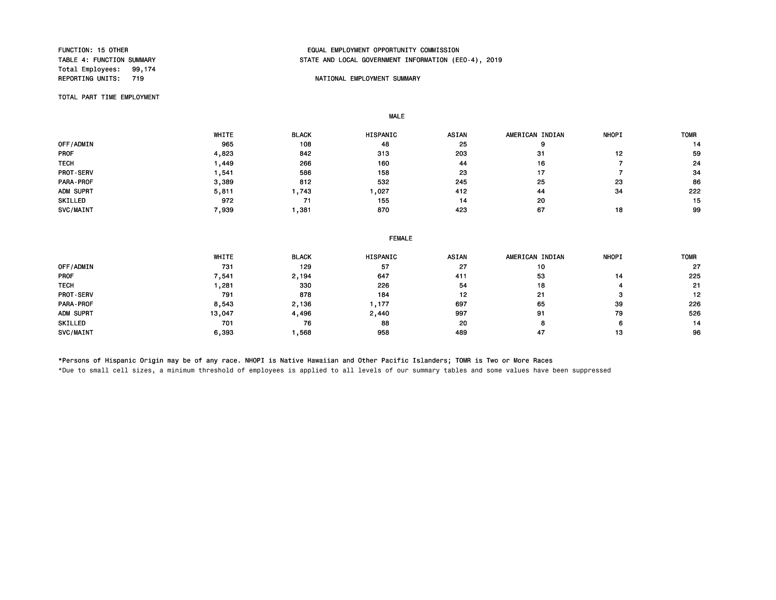Total Employees: 99,174<br>REPORTING UNITS: 719

#### FUNCTION: 15 OTHER EQUAL EMPLOYMENT OPPORTUNITY COMMISSION STATE AND LOCAL GOVERNMENT INFORMATION (EEO-4), 2019

#### NATIONAL EMPLOYMENT SUMMARY

TOTAL PART TIME EMPLOYMENT

MALE

|                  | WHITE | <b>BLACK</b> | HISPANIC | <b>ASIAN</b> | AMERICAN INDIAN | <b>NHOPI</b> | <b>TOMR</b> |
|------------------|-------|--------------|----------|--------------|-----------------|--------------|-------------|
| OFF/ADMIN        | 965   | 108          | 48       | 25           |                 |              | 14          |
| <b>PROF</b>      | 4,823 | 842          | 313      | 203          | 31              | 12           | 59          |
| <b>TECH</b>      | .449  | 266          | 160      | 44           | 16              |              | 24          |
| <b>PROT-SERV</b> | .541  | 586          | 158      | 23           | 17              |              | 34          |
| PARA-PROF        | 3,389 | 812          | 532      | 245          | 25              | 23           | 86          |
| ADM SUPRT        | 5,811 | ,743         | ,027     | 412          | 44              | 34           | 222         |
| SKILLED          | 972   | 71           | 155      | 14           | 20              |              | 15          |
| SVC/MAINT        | 7,939 | ,381         | 870      | 423          | 67              | 18           | 99          |

|  | <b>FEMALE</b> |
|--|---------------|
|  |               |

|             | WHITE  | <b>BLACK</b> | <b>HISPANIC</b> | <b>ASIAN</b> | AMERICAN INDIAN | <b>NHOPI</b> | <b>TOMR</b> |
|-------------|--------|--------------|-----------------|--------------|-----------------|--------------|-------------|
| OFF/ADMIN   | 731    | 129          | 57              | 27           | 10              |              | 27          |
| <b>PROF</b> | 7,541  | 2,194        | 647             | 411          | 53              | 14           | 225         |
| <b>TECH</b> | ,281   | 330          | 226             | 54           | 18              |              | 21          |
| PROT-SERV   | 791    | 878          | 184             | 12           | 21              |              | 12          |
| PARA-PROF   | 8,543  | 2,136        | , 177           | 697          | 65              | 39           | 226         |
| ADM SUPRT   | 13,047 | 4,496        | 2,440           | 997          | 91              | 79           | 526         |
| SKILLED     | 701    | 76           | 88              | 20           |                 | 6            | 14          |
| SVC/MAINT   | 6,393  | ,568         | 958             | 489          | 47              | 13           | 96          |

\*Persons of Hispanic Origin may be of any race. NHOPI is Native Hawaiian and Other Pacific Islanders; TOMR is Two or More Races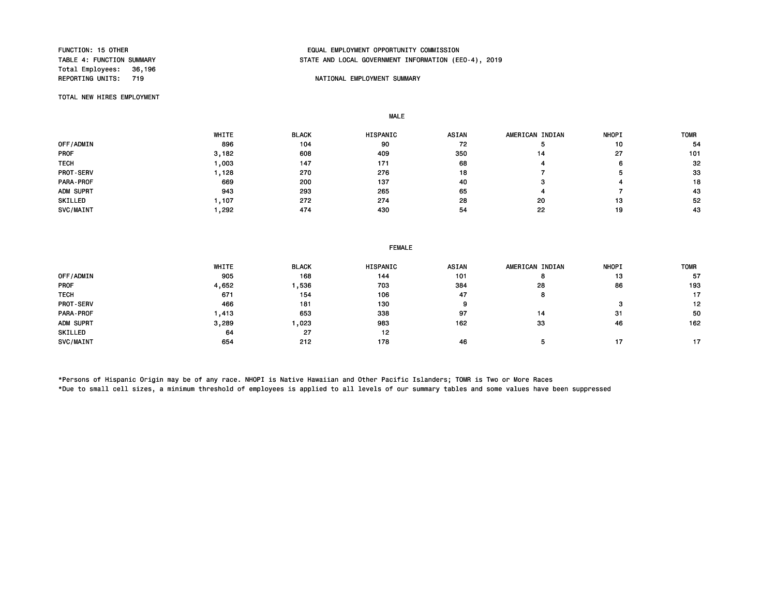Total Employees: 36,196

#### FUNCTION: 15 OTHER EQUAL EMPLOYMENT OPPORTUNITY COMMISSION STATE AND LOCAL GOVERNMENT INFORMATION (EEO-4), 2019

#### NATIONAL EMPLOYMENT SUMMARY

TOTAL NEW HIRES EMPLOYMENT

MALE

|                  | WHITE | <b>BLACK</b> | <b>HISPANIC</b> | <b>ASIAN</b> | AMERICAN INDIAN | <b>NHOPI</b> | <b>TOMR</b> |
|------------------|-------|--------------|-----------------|--------------|-----------------|--------------|-------------|
| OFF/ADMIN        | 896   | 104          | 90              | 72           |                 | 10           | 54          |
| <b>PROF</b>      | 3,182 | 608          | 409             | 350          | 14              | 27           | 101         |
| <b>TECH</b>      | ,003  | 147          | 171             | 68           |                 | 6            | 32          |
| <b>PROT-SERV</b> | , 128 | 270          | 276             | 18           |                 |              | 33          |
| PARA-PROF        | 669   | 200          | 137             | 40           |                 |              | 18          |
| ADM SUPRT        | 943   | 293          | 265             | 65           |                 |              | 43          |
| SKILLED          | ,107  | 272          | 274             | 28           | 20              | 13           | 52          |
| SVC/MAINT        | ,292  | 474          | 430             | 54           | 22              | 19           | 43          |

|  | <b>FEMALE</b> |
|--|---------------|
|  |               |

|             | WHITE | <b>BLACK</b> | <b>HISPANIC</b> | <b>ASIAN</b> | AMERICAN INDIAN | <b>NHOPI</b> | <b>TOMR</b> |
|-------------|-------|--------------|-----------------|--------------|-----------------|--------------|-------------|
| OFF/ADMIN   | 905   | 168          | 144             | 101          |                 | 13           | 57          |
| <b>PROF</b> | 4,652 | .536         | 703             | 384          | 28              | 86           | 193         |
| <b>TECH</b> | 671   | 154          | 106             | 47           | o               |              | 17          |
| PROT-SERV   | 466   | 181          | 130             | 9            |                 | з            | 12          |
| PARA-PROF   | .413  | 653          | 338             | 97           | 14              | 31           | 50          |
| ADM SUPRT   | 3,289 | .023         | 983             | 162          | 33              | 46           | 162         |
| SKILLED     | 64    | 27           | 12              |              |                 |              |             |
| SVC/MAINT   | 654   | 212          | 178             | 46           |                 |              | 17          |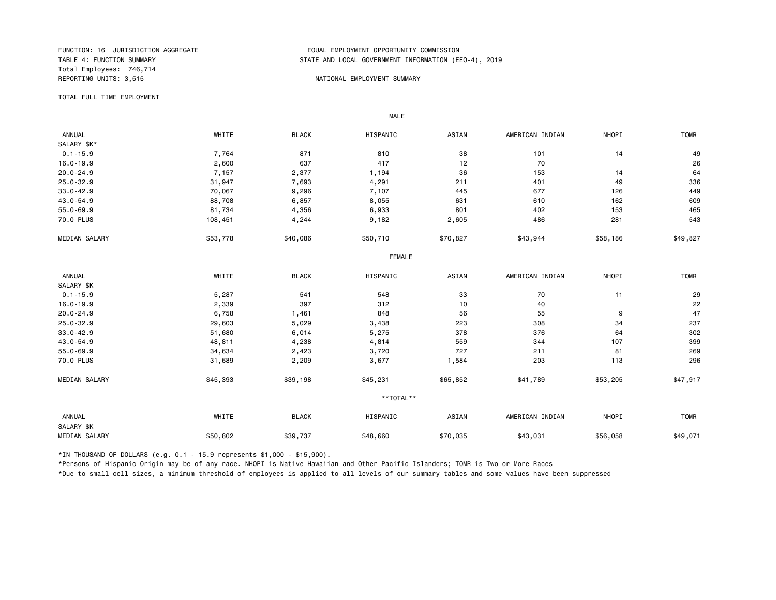Total Employees: 746,714 REPORTING UNITS: 3,515 NATIONAL EMPLOYMENT SUMMARY

#### FUNCTION: 16 JURISDICTION AGGREGATE EQUAL EMPLOYMENT OPPORTUNITY COMMISSION STATE AND LOCAL GOVERNMENT INFORMATION (EEO-4), 2019

TOTAL FULL TIME EMPLOYMENT

 ANNUAL WHITE BLACK HISPANIC ASIAN AMERICAN INDIAN NHOPI TOMR SALARY \$K\*<br>0.1-15.9 0.1-15.9 7,764 871 810 38 101 14 49 16.0-19.9 2,600 637 417 12 70 26 20.0-24.9 7,157 2,377 1,194 36 153 14 64 25.0-32.9 31,947 7,693 4,291 211 401 49 336 33.0-42.9 70,067 9,296 7,107 445 677 126 449 43.0-54.9 88,708 6,857 8,055 631 610 162 609 55.0-69.9 81,734 4,356 6,933 801 402 153 465 70.0 PLUS 108,451 4,244 9,182 2,605 486 281 543 MEDIAN SALARY \$53,778 \$40,086 \$50,710 \$70,827 \$43,944 \$58,186 \$49,827 FEMALE **FRAME**  ANNUAL WHITE BLACK HISPANIC ASIAN AMERICAN INDIAN NHOPI TOMR SALARY \$K<br>0.1-15.9 0.1-15.9 5,287 541 548 33 70 11 29 16.0-19.9 2,339 397 312 10 40 22 20.0-24.9 6,758 1,461 848 56 55 9 47 25.0-32.9 29,603 5,029 3,438 223 308 34 237 33.0-42.9 51,680 6,014 5,275 378 376 64 302 43.0-54.9 48,811 4,238 4,814 559 344 107 399 55.0-69.9 34,634 2,423 3,720 727 211 81 269 70.0 PLUS 31,689 2,209 3,677 1,584 203 113 296 MEDIAN SALARY \$45,393 \$39,198 \$45,231 \$65,852 \$41,789 \$53,205 \$47,917 \*\*TOTAL\*\* ANNUAL WHITE BLACK HISPANIC ASIAN AMERICAN INDIAN NHOPI TOMR SALARY \$K MEDIAN SALARY \$50,802 \$39,737 \$48,660 \$70,035 \$43,031 \$56,058 \$49,071

\*IN THOUSAND OF DOLLARS (e.g. 0.1 - 15.9 represents \$1,000 - \$15,900).

MALE

\*Persons of Hispanic Origin may be of any race. NHOPI is Native Hawaiian and Other Pacific Islanders; TOMR is Two or More Races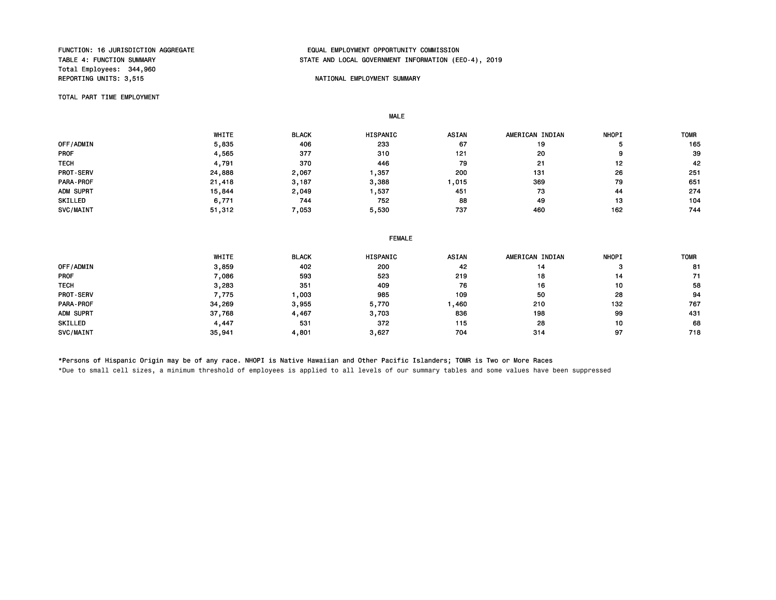Total Employees: 344,960 REPORTING UNITS: 3,515 NATIONAL EMPLOYMENT SUMMARY

MALE

## FUNCTION: 16 JURISDICTION AGGREGATE<br>TABLE 4: FUNCTION SUMMARY GAREGATE TABLE AND LOCAL GOVERNMENT INFORMATION (EDUAL TABLE 4: FUNCTION SUMMARY STATE AND LOCAL GOVERNMENT INFORMATION (EEO-4), 2019

TOTAL PART TIME EMPLOYMENT

 WHITE BLACK HISPANIC ASIAN AMERICAN INDIAN NHOPI TOMR 0FF/ADMIN 5 5,835 406 233 67 19 5 165 PROF 4,565 377 310 121 20 9 39 TECH 4,791 370 446 79 21 12 42 PROT-SERV 24,888 2,067 1,357 200 131 26 251 PARA-PROF 21,418 3,187 3,388 1,015 369 79 651 ADM SUPRT 15,844 2,049 1,537 451 73 44 274 SKILLED 6,771 744 752 88 49 13 104 SVC/MAINT 51 ,312 7 ,053 5 ,530 737 460 162 744

|                  | <b>FEMALE</b> |              |          |              |                 |              |             |
|------------------|---------------|--------------|----------|--------------|-----------------|--------------|-------------|
|                  | WHITE         | <b>BLACK</b> | HISPANIC | <b>ASIAN</b> | AMERICAN INDIAN | <b>NHOPI</b> | <b>TOMR</b> |
| OFF/ADMIN        | 3,859         | 402          | 200      | 42           | 14              | з            | 81          |
| <b>PROF</b>      | 7,086         | 593          | 523      | 219          | 18              | 14           | 71          |
| <b>TECH</b>      | 3,283         | 351          | 409      | 76           | 16              | 10           | 58          |
| <b>PROT-SERV</b> | 7,775         | .003         | 985      | 109          | 50              | 28           | 94          |
| PARA-PROF        | 34,269        | 3,955        | 5,770    | ,460         | 210             | 132          | 767         |
| ADM SUPRT        | 37,768        | 4,467        | 3,703    | 836          | 198             | 99           | 431         |
| SKILLED          | 4,447         | 531          | 372      | 115          | 28              | 10           | 68          |
| SVC/MAINT        | 35.941        | 4,801        | 3,627    | 704          | 314             | 97           | 718         |